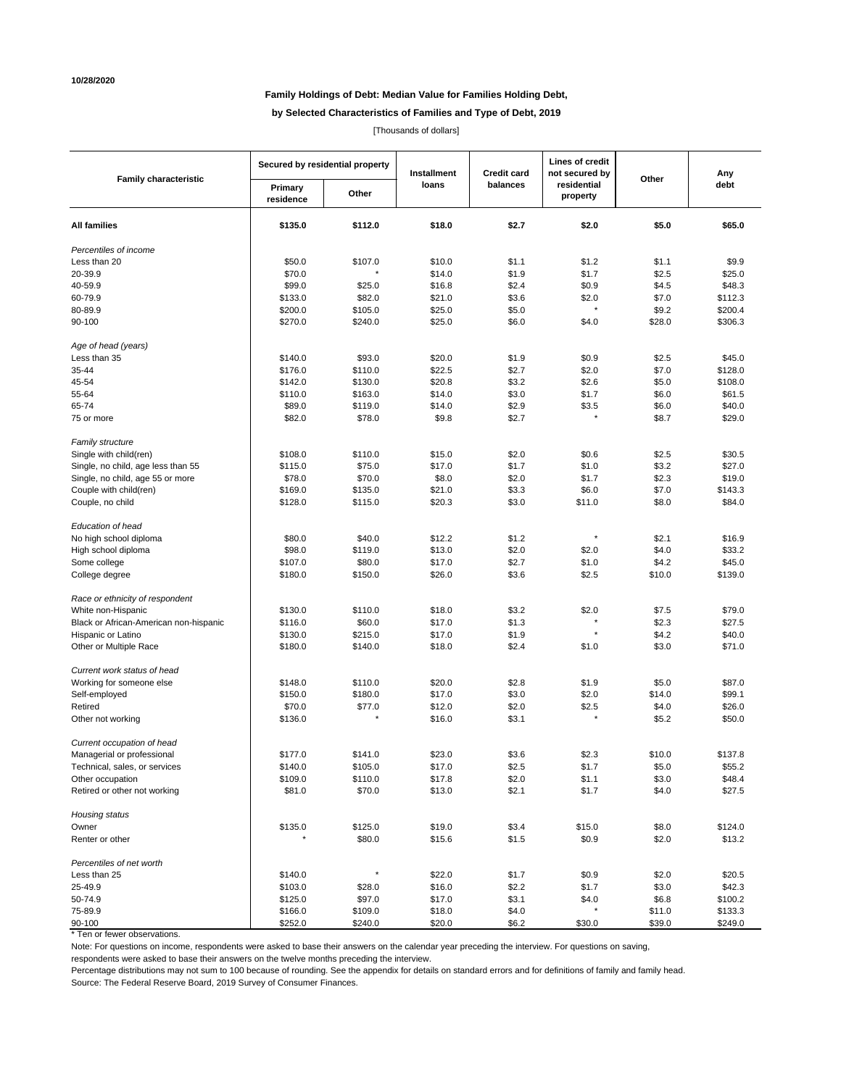# **Family Holdings of Debt: Median Value for Families Holding Debt,**

**by Selected Characteristics of Families and Type of Debt, 2019**

[Thousands of dollars]

| <b>Family characteristic</b>           | Secured by residential property |         | Installment | <b>Credit card</b> | Lines of credit<br>not secured by | Other  | Any<br>debt |
|----------------------------------------|---------------------------------|---------|-------------|--------------------|-----------------------------------|--------|-------------|
|                                        | Primary<br>residence            | Other   | loans       | balances           | residential<br>property           |        |             |
| <b>All families</b>                    | \$135.0                         | \$112.0 | \$18.0      | \$2.7              | \$2.0                             | \$5.0  | \$65.0      |
| Percentiles of income                  |                                 |         |             |                    |                                   |        |             |
| Less than 20                           | \$50.0                          | \$107.0 | \$10.0      | \$1.1              | \$1.2                             | \$1.1  | \$9.9       |
| 20-39.9                                | \$70.0                          |         | \$14.0      | \$1.9              | \$1.7                             | \$2.5  | \$25.0      |
| 40-59.9                                | \$99.0                          | \$25.0  | \$16.8      | \$2.4              | \$0.9                             | \$4.5  | \$48.3      |
| 60-79.9                                | \$133.0                         | \$82.0  | \$21.0      | \$3.6              | \$2.0                             | \$7.0  | \$112.3     |
| 80-89.9                                | \$200.0                         | \$105.0 | \$25.0      | \$5.0              |                                   | \$9.2  | \$200.4     |
| 90-100                                 | \$270.0                         | \$240.0 | \$25.0      | \$6.0              | \$4.0                             | \$28.0 | \$306.3     |
| Age of head (years)                    |                                 |         |             |                    |                                   |        |             |
| Less than 35                           | \$140.0                         | \$93.0  | \$20.0      | \$1.9              | \$0.9                             | \$2.5  | \$45.0      |
| 35-44                                  | \$176.0                         | \$110.0 | \$22.5      | \$2.7              | \$2.0                             | \$7.0  | \$128.0     |
| 45-54                                  | \$142.0                         | \$130.0 | \$20.8      | \$3.2              | \$2.6                             | \$5.0  | \$108.0     |
| 55-64                                  | \$110.0                         | \$163.0 | \$14.0      | \$3.0              | \$1.7                             | \$6.0  | \$61.5      |
| 65-74                                  | \$89.0                          | \$119.0 | \$14.0      | \$2.9              | \$3.5                             | \$6.0  | \$40.0      |
| 75 or more                             | \$82.0                          | \$78.0  | \$9.8       | \$2.7              |                                   | \$8.7  | \$29.0      |
| <b>Family structure</b>                |                                 |         |             |                    |                                   |        |             |
| Single with child(ren)                 | \$108.0                         | \$110.0 | \$15.0      | \$2.0              | \$0.6                             | \$2.5  | \$30.5      |
| Single, no child, age less than 55     | \$115.0                         | \$75.0  | \$17.0      | \$1.7              | \$1.0                             | \$3.2  | \$27.0      |
| Single, no child, age 55 or more       | \$78.0                          | \$70.0  | \$8.0       | \$2.0              | \$1.7                             | \$2.3  | \$19.0      |
| Couple with child(ren)                 | \$169.0                         | \$135.0 | \$21.0      | \$3.3              | \$6.0                             | \$7.0  | \$143.3     |
| Couple, no child                       | \$128.0                         | \$115.0 | \$20.3      | \$3.0              | \$11.0                            | \$8.0  | \$84.0      |
| Education of head                      |                                 |         |             |                    |                                   |        |             |
| No high school diploma                 | \$80.0                          | \$40.0  | \$12.2      | \$1.2              | $\pmb{\ast}$                      | \$2.1  | \$16.9      |
| High school diploma                    | \$98.0                          | \$119.0 | \$13.0      | \$2.0              | \$2.0                             | \$4.0  | \$33.2      |
| Some college                           | \$107.0                         | \$80.0  | \$17.0      | \$2.7              | \$1.0                             | \$4.2  | \$45.0      |
| College degree                         | \$180.0                         | \$150.0 | \$26.0      | \$3.6              | \$2.5                             | \$10.0 | \$139.0     |
| Race or ethnicity of respondent        |                                 |         |             |                    |                                   |        |             |
| White non-Hispanic                     | \$130.0                         | \$110.0 | \$18.0      | \$3.2              | \$2.0                             | \$7.5  | \$79.0      |
| Black or African-American non-hispanic | \$116.0                         | \$60.0  | \$17.0      | \$1.3              |                                   | \$2.3  | \$27.5      |
| Hispanic or Latino                     | \$130.0                         | \$215.0 | \$17.0      | \$1.9              |                                   | \$4.2  | \$40.0      |
| Other or Multiple Race                 | \$180.0                         | \$140.0 | \$18.0      | \$2.4              | \$1.0                             | \$3.0  | \$71.0      |
| Current work status of head            |                                 |         |             |                    |                                   |        |             |
| Working for someone else               | \$148.0                         | \$110.0 | \$20.0      | \$2.8              | \$1.9                             | \$5.0  | \$87.0      |
| Self-employed                          | \$150.0                         | \$180.0 | \$17.0      | \$3.0              | \$2.0                             | \$14.0 | \$99.1      |
| Retired                                | \$70.0                          | \$77.0  | \$12.0      | \$2.0              | \$2.5                             | \$4.0  | \$26.0      |
| Other not working                      | \$136.0                         |         | \$16.0      | \$3.1              |                                   | \$5.2  | \$50.0      |
| Current occupation of head             |                                 |         |             |                    |                                   |        |             |
| Managerial or professional             | \$177.0                         | \$141.0 | \$23.0      | \$3.6              | \$2.3                             | \$10.0 | \$137.8     |
| Technical, sales, or services          | \$140.0                         | \$105.0 | \$17.0      | \$2.5              | \$1.7                             | \$5.0  | \$55.2      |
| Other occupation                       | \$109.0                         | \$110.0 | \$17.8      | \$2.0              | \$1.1                             | \$3.0  | \$48.4      |
| Retired or other not working           | \$81.0                          | \$70.0  | \$13.0      | \$2.1              | \$1.7                             | \$4.0  | \$27.5      |
| Housing status                         |                                 |         |             |                    |                                   |        |             |
| Owner                                  | \$135.0                         | \$125.0 | \$19.0      | \$3.4              | \$15.0                            | \$8.0  | \$124.0     |
| Renter or other                        |                                 | \$80.0  | \$15.6      | \$1.5              | \$0.9                             | \$2.0  | \$13.2      |
| Percentiles of net worth               |                                 |         |             |                    |                                   |        |             |
| Less than 25                           | \$140.0                         | $\star$ | \$22.0      | \$1.7              | \$0.9                             | \$2.0  | \$20.5      |
| 25-49.9                                | \$103.0                         | \$28.0  | \$16.0      | \$2.2              | \$1.7                             | \$3.0  | \$42.3      |
| 50-74.9                                | \$125.0                         | \$97.0  | \$17.0      | \$3.1              | \$4.0                             | \$6.8  | \$100.2     |
| 75-89.9                                | \$166.0                         | \$109.0 | \$18.0      | \$4.0              |                                   | \$11.0 | \$133.3     |
| 90-100                                 | \$252.0                         | \$240.0 | \$20.0      | \$6.2              | \$30.0                            | \$39.0 | \$249.0     |

\* Ten or fewer observations.

Note: For questions on income, respondents were asked to base their answers on the calendar year preceding the interview. For questions on saving,

respondents were asked to base their answers on the twelve months preceding the interview.

Percentage distributions may not sum to 100 because of rounding. See the appendix for details on standard errors and for definitions of family and family head. Source: The Federal Reserve Board, 2019 Survey of Consumer Finances.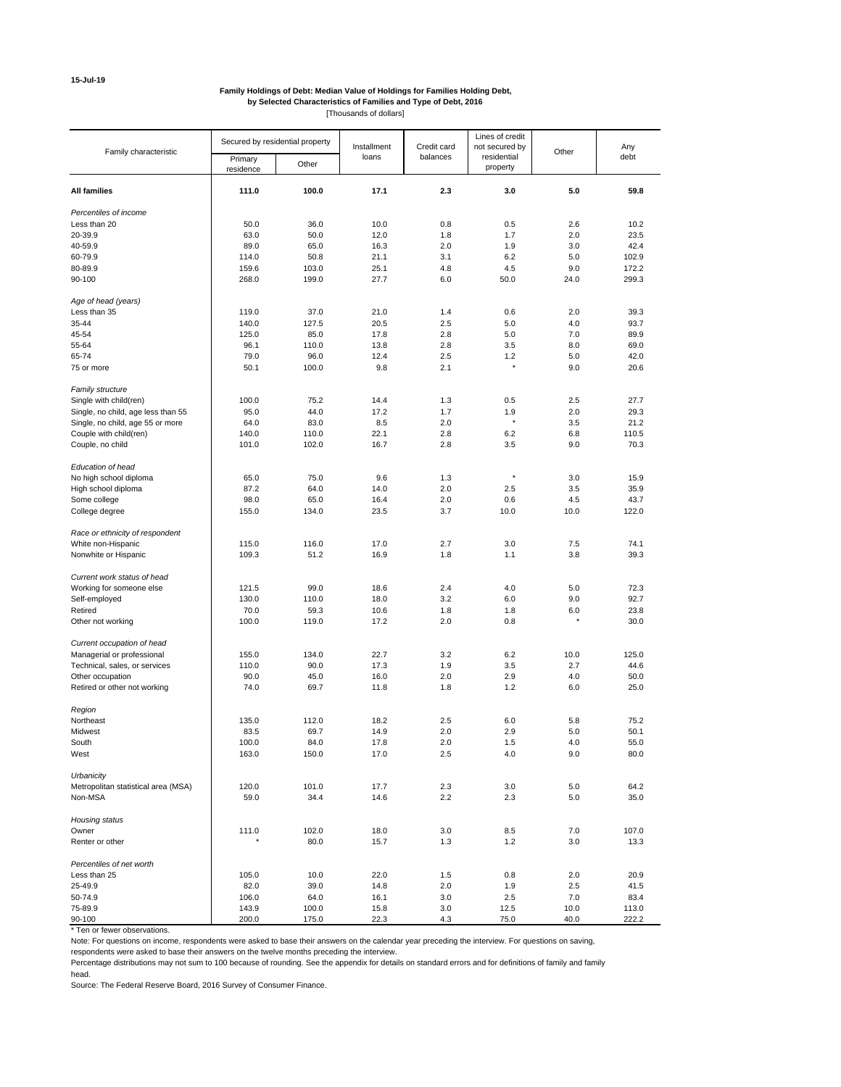#### **Family Holdings of Debt: Median Value of Holdings for Families Holding Debt, by Selected Characteristics of Families and Type of Debt, 2016** [Thousands of dollars]

|                                     | Secured by residential property |       |             |             | Lines of credit |       |       |
|-------------------------------------|---------------------------------|-------|-------------|-------------|-----------------|-------|-------|
| Family characteristic               |                                 |       | Installment | Credit card | not secured by  | Other | Any   |
|                                     | Primary                         | Other | loans       | balances    | residential     |       | debt  |
|                                     | residence                       |       |             |             | property        |       |       |
|                                     |                                 |       |             |             |                 |       |       |
| <b>All families</b>                 | 111.0                           | 100.0 | 17.1        | 2.3         | 3.0             | 5.0   | 59.8  |
| Percentiles of income               |                                 |       |             |             |                 |       |       |
| Less than 20                        | 50.0                            | 36.0  | 10.0        | 0.8         | 0.5             | 2.6   | 10.2  |
| 20-39.9                             | 63.0                            | 50.0  | 12.0        | 1.8         | 1.7             | 2.0   | 23.5  |
| 40-59.9                             | 89.0                            | 65.0  | 16.3        | 2.0         | 1.9             | 3.0   | 42.4  |
|                                     |                                 |       |             |             |                 |       |       |
| 60-79.9                             | 114.0                           | 50.8  | 21.1        | 3.1         | 6.2             | 5.0   | 102.9 |
| 80-89.9                             | 159.6                           | 103.0 | 25.1        | 4.8         | 4.5             | 9.0   | 172.2 |
| 90-100                              | 268.0                           | 199.0 | 27.7        | 6.0         | 50.0            | 24.0  | 299.3 |
|                                     |                                 |       |             |             |                 |       |       |
| Age of head (years)<br>Less than 35 | 119.0                           | 37.0  | 21.0        | 1.4         | 0.6             | 2.0   | 39.3  |
|                                     |                                 |       |             |             |                 |       |       |
| 35-44                               | 140.0                           | 127.5 | 20.5        | 2.5         | 5.0             | 4.0   | 93.7  |
| 45-54                               | 125.0                           | 85.0  | 17.8        | 2.8         | 5.0             | 7.0   | 89.9  |
| 55-64                               | 96.1                            | 110.0 | 13.8        | 2.8         | 3.5             | 8.0   | 69.0  |
| 65-74                               | 79.0                            | 96.0  | 12.4        | 2.5         | 1.2             | 5.0   | 42.0  |
| 75 or more                          | 50.1                            | 100.0 | 9.8         | 2.1         | $\star$         | 9.0   | 20.6  |
|                                     |                                 |       |             |             |                 |       |       |
| Family structure                    |                                 |       |             |             |                 |       |       |
| Single with child(ren)              | 100.0                           | 75.2  | 14.4        | 1.3         | 0.5             | 2.5   | 27.7  |
| Single, no child, age less than 55  | 95.0                            | 44.0  | 17.2        | 1.7         | 1.9             | 2.0   | 29.3  |
| Single, no child, age 55 or more    | 64.0                            | 83.0  | 8.5         | 2.0         | $\star$         | 3.5   | 21.2  |
| Couple with child(ren)              | 140.0                           | 110.0 | 22.1        | 2.8         | 6.2             | 6.8   | 110.5 |
| Couple, no child                    | 101.0                           | 102.0 | 16.7        | 2.8         | 3.5             | 9.0   | 70.3  |
|                                     |                                 |       |             |             |                 |       |       |
| Education of head                   |                                 |       |             |             |                 |       |       |
| No high school diploma              | 65.0                            | 75.0  | 9.6         | 1.3         | $\star$         | 3.0   | 15.9  |
| High school diploma                 | 87.2                            | 64.0  | 14.0        | 2.0         | 2.5             | 3.5   | 35.9  |
| Some college                        | 98.0                            | 65.0  | 16.4        | 2.0         | 0.6             | 4.5   | 43.7  |
|                                     |                                 |       |             |             |                 |       |       |
| College degree                      | 155.0                           | 134.0 | 23.5        | 3.7         | 10.0            | 10.0  | 122.0 |
| Race or ethnicity of respondent     |                                 |       |             |             |                 |       |       |
| White non-Hispanic                  | 115.0                           | 116.0 | 17.0        | 2.7         | 3.0             | 7.5   | 74.1  |
| Nonwhite or Hispanic                | 109.3                           | 51.2  | 16.9        | 1.8         | 1.1             | 3.8   | 39.3  |
|                                     |                                 |       |             |             |                 |       |       |
| Current work status of head         |                                 |       |             |             |                 |       |       |
| Working for someone else            | 121.5                           | 99.0  | 18.6        | 2.4         | 4.0             | 5.0   | 72.3  |
| Self-employed                       | 130.0                           | 110.0 | 18.0        | 3.2         | 6.0             | 9.0   | 92.7  |
| Retired                             | 70.0                            | 59.3  | 10.6        | 1.8         | 1.8             | 6.0   | 23.8  |
| Other not working                   | 100.0                           | 119.0 | 17.2        | 2.0         | 0.8             |       | 30.0  |
|                                     |                                 |       |             |             |                 |       |       |
| Current occupation of head          |                                 |       |             |             |                 |       |       |
| Managerial or professional          | 155.0                           | 134.0 | 22.7        | 3.2         | 6.2             | 10.0  | 125.0 |
| Technical, sales, or services       | 110.0                           | 90.0  | 17.3        | 1.9         | 3.5             | 2.7   | 44.6  |
| Other occupation                    | 90.0                            | 45.0  | 16.0        | 2.0         | 2.9             | 4.0   | 50.0  |
| Retired or other not working        | 74.0                            | 69.7  | 11.8        | 1.8         | 1.2             | 6.0   | 25.0  |
|                                     |                                 |       |             |             |                 |       |       |
| Region                              |                                 |       |             |             |                 |       |       |
| Northeast                           | 135.0                           | 112.0 | 18.2        | 2.5         | 6.0             | 5.8   | 75.2  |
| Midwest                             | 83.5                            | 69.7  | 14.9        | 2.0         | 2.9             | 5.0   | 50.1  |
|                                     |                                 |       |             |             |                 |       |       |
| South                               | 100.0                           | 84.0  | 17.8        | 2.0         | 1.5             | 4.0   | 55.0  |
| West                                | 163.0                           | 150.0 | 17.0        | 2.5         | 4.0             | 9.0   | 80.0  |
| Urbanicity                          |                                 |       |             |             |                 |       |       |
| Metropolitan statistical area (MSA) | 120.0                           | 101.0 | 17.7        | 2.3         | 3.0             | 5.0   | 64.2  |
| Non-MSA                             | 59.0                            | 34.4  | 14.6        | 2.2         | 2.3             | 5.0   | 35.0  |
|                                     |                                 |       |             |             |                 |       |       |
| Housing status                      |                                 |       |             |             |                 |       |       |
| Owner                               | 111.0                           | 102.0 | 18.0        | 3.0         | 8.5             | 7.0   | 107.0 |
| Renter or other                     |                                 | 80.0  | 15.7        | 1.3         | 1.2             | 3.0   | 13.3  |
|                                     |                                 |       |             |             |                 |       |       |
| Percentiles of net worth            |                                 |       |             |             |                 |       |       |
| Less than 25                        | 105.0                           | 10.0  | 22.0        | 1.5         | 0.8             | 2.0   | 20.9  |
| 25-49.9                             | 82.0                            | 39.0  | 14.8        | 2.0         | 1.9             | 2.5   | 41.5  |
| 50-74.9                             | 106.0                           | 64.0  | 16.1        | 3.0         | 2.5             | 7.0   | 83.4  |
| 75-89.9                             | 143.9                           | 100.0 |             | 3.0         |                 | 10.0  |       |
|                                     |                                 |       | 15.8        |             | 12.5            |       | 113.0 |
| 90-100                              | 200.0                           | 175.0 | 22.3        | 4.3         | 75.0            | 40.0  | 222.2 |

\* Ten or fewer observations.

Note: For questions on income, respondents were asked to base their answers on the calendar year preceding the interview. For questions on saving,

respondents were asked to base their answers on the twelve months preceding the interview.

Percentage distributions may not sum to 100 because of rounding. See the appendix for details on standard errors and for definitions of family and family

head.

Source: The Federal Reserve Board, 2016 Survey of Consumer Finance.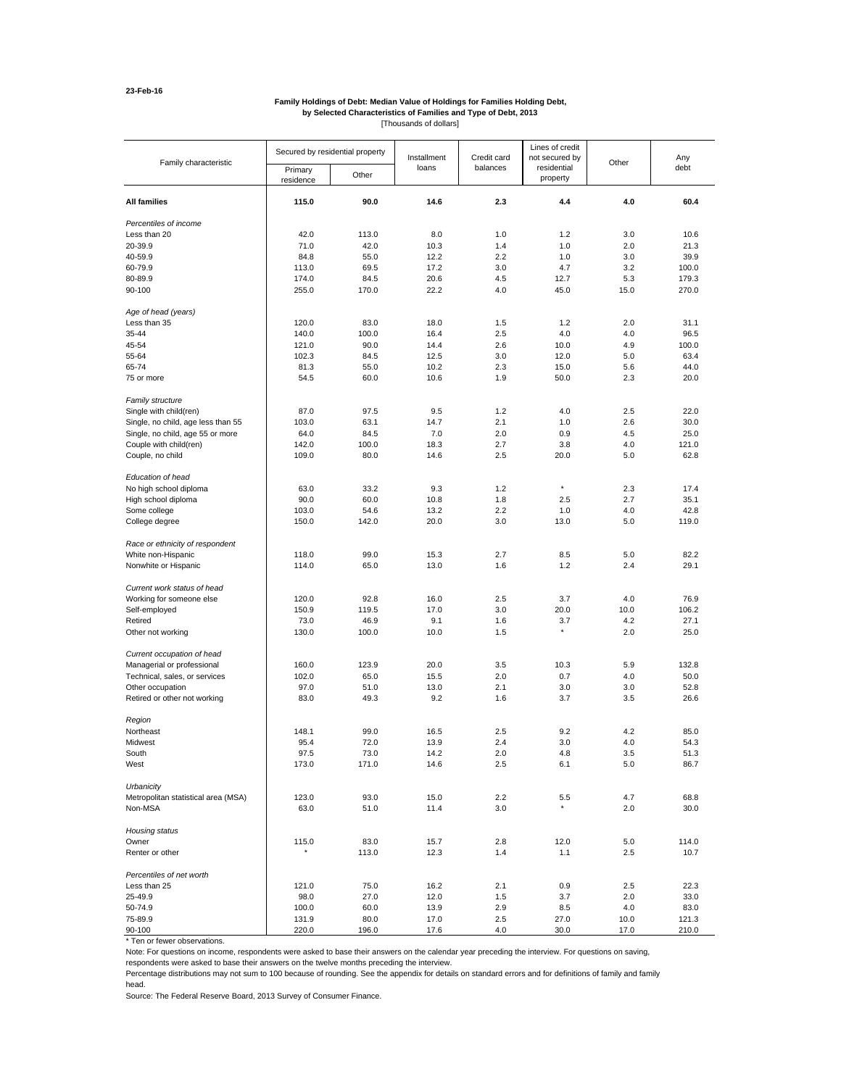#### **Family Holdings of Debt: Median Value of Holdings for Families Holding Debt, by Selected Characteristics of Families and Type of Debt, 2013**

[Thousands of dollars]

| Family characteristic               | Secured by residential property |               | Installment  | Credit card | Lines of credit<br>not secured by | Other       | Any            |
|-------------------------------------|---------------------------------|---------------|--------------|-------------|-----------------------------------|-------------|----------------|
|                                     | Primary<br>residence            | Other         | loans        | balances    | residential<br>property           |             | debt           |
| <b>All families</b>                 | 115.0                           | 90.0          | 14.6         | 2.3         | 4.4                               | 4.0         | 60.4           |
| Percentiles of income               |                                 |               |              |             |                                   |             |                |
| Less than 20                        | 42.0                            | 113.0         | 8.0          | 1.0         | 1.2                               | 3.0         | 10.6           |
| 20-39.9                             | 71.0                            | 42.0          | 10.3         | 1.4         | 1.0                               | 2.0         | 21.3           |
| 40-59.9                             | 84.8                            | 55.0          | 12.2         | 2.2         | 1.0                               | 3.0         | 39.9           |
| 60-79.9                             | 113.0                           | 69.5          | 17.2         | 3.0         | 4.7                               | 3.2         | 100.0          |
|                                     |                                 |               |              |             |                                   |             |                |
| 80-89.9<br>90-100                   | 174.0<br>255.0                  | 84.5<br>170.0 | 20.6<br>22.2 | 4.5<br>4.0  | 12.7<br>45.0                      | 5.3<br>15.0 | 179.3<br>270.0 |
|                                     |                                 |               |              |             |                                   |             |                |
| Age of head (years)                 |                                 |               |              |             |                                   |             |                |
| Less than 35                        | 120.0                           | 83.0          | 18.0         | 1.5         | 1.2                               | 2.0         | 31.1           |
| 35-44                               | 140.0                           | 100.0         | 16.4         | 2.5         | 4.0                               | 4.0         | 96.5           |
| 45-54                               | 121.0                           | 90.0          | 14.4         | 2.6         | 10.0                              | 4.9         | 100.0          |
| 55-64                               | 102.3                           | 84.5          | 12.5         | 3.0         | 12.0                              | 5.0         | 63.4           |
| 65-74                               | 81.3                            | 55.0          | 10.2         | 2.3         | 15.0                              | 5.6         | 44.0           |
| 75 or more                          | 54.5                            | 60.0          | 10.6         | 1.9         | 50.0                              | 2.3         | 20.0           |
| Family structure                    |                                 |               |              |             |                                   |             |                |
| Single with child(ren)              | 87.0                            | 97.5          | 9.5          | 1.2         | 4.0                               | 2.5         | 22.0           |
| Single, no child, age less than 55  | 103.0                           | 63.1          | 14.7         | 2.1         | 1.0                               | 2.6         | 30.0           |
| Single, no child, age 55 or more    | 64.0                            | 84.5          | 7.0          | 2.0         | 0.9                               | 4.5         | 25.0           |
| Couple with child(ren)              | 142.0                           | 100.0         | 18.3         | 2.7         | 3.8                               | 4.0         | 121.0          |
| Couple, no child                    | 109.0                           | 80.0          | 14.6         | 2.5         | 20.0                              | 5.0         | 62.8           |
| Education of head                   |                                 |               |              |             |                                   |             |                |
| No high school diploma              | 63.0                            | 33.2          | 9.3          | 1.2         | ×                                 | 2.3         | 17.4           |
| High school diploma                 | 90.0                            | 60.0          | 10.8         | 1.8         | 2.5                               | 2.7         | 35.1           |
| Some college                        | 103.0                           | 54.6          | 13.2         | 2.2         | 1.0                               | 4.0         | 42.8           |
| College degree                      | 150.0                           | 142.0         | 20.0         | 3.0         | 13.0                              | 5.0         | 119.0          |
| Race or ethnicity of respondent     |                                 |               |              |             |                                   |             |                |
| White non-Hispanic                  | 118.0                           | 99.0          | 15.3         | 2.7         | 8.5                               | 5.0         | 82.2           |
| Nonwhite or Hispanic                | 114.0                           | 65.0          | 13.0         | 1.6         | 1.2                               | 2.4         | 29.1           |
| Current work status of head         |                                 |               |              |             |                                   |             |                |
| Working for someone else            | 120.0                           | 92.8          | 16.0         | 2.5         | 3.7                               | 4.0         | 76.9           |
| Self-employed                       | 150.9                           | 119.5         | 17.0         | 3.0         | 20.0                              | 10.0        | 106.2          |
| Retired                             | 73.0                            | 46.9          | 9.1          | 1.6         | 3.7                               | 4.2         | 27.1           |
| Other not working                   | 130.0                           | 100.0         | 10.0         | 1.5         | $\pmb{\ast}$                      | 2.0         | 25.0           |
| Current occupation of head          |                                 |               |              |             |                                   |             |                |
| Managerial or professional          | 160.0                           | 123.9         | 20.0         | 3.5         | 10.3                              | 5.9         | 132.8          |
| Technical, sales, or services       | 102.0                           | 65.0          | 15.5         | 2.0         | 0.7                               | 4.0         | 50.0           |
| Other occupation                    | 97.0                            | 51.0          | 13.0         | 2.1         | 3.0                               | 3.0         | 52.8           |
| Retired or other not working        | 83.0                            | 49.3          | 9.2          | 1.6         | 3.7                               | 3.5         | 26.6           |
|                                     |                                 |               |              |             |                                   |             |                |
| Region                              |                                 |               |              |             |                                   |             |                |
| Northeast                           | 148.1                           | 99.0          | 16.5         | 2.5         | 9.2                               | 4.2         | 85.0           |
| Midwest                             | 95.4                            | 72.0          | 13.9         | 2.4         | 3.0                               | 4.0         | 54.3           |
| South                               | 97.5                            | 73.0          | 14.2         | 2.0         | 4.8                               | 3.5         | 51.3           |
| West                                | 173.0                           | 171.0         | 14.6         | 2.5         | 6.1                               | 5.0         | 86.7           |
| Urbanicity                          |                                 |               |              |             |                                   |             |                |
| Metropolitan statistical area (MSA) | 123.0                           | 93.0          | 15.0         | 2.2         | 5.5                               | 4.7         | 68.8           |
| Non-MSA                             | 63.0                            | 51.0          | 11.4         | 3.0         | ×                                 | 2.0         | 30.0           |
| Housing status                      |                                 |               |              |             |                                   |             |                |
| Owner                               | 115.0                           | 83.0          | 15.7         | 2.8         | 12.0                              | 5.0         | 114.0          |
| Renter or other                     | $\pmb{\ast}$                    | 113.0         | 12.3         | 1.4         | 1.1                               | 2.5         | 10.7           |
| Percentiles of net worth            |                                 |               |              |             |                                   |             |                |
| Less than 25                        | 121.0                           | 75.0          | 16.2         | 2.1         | 0.9                               | 2.5         | 22.3           |
| 25-49.9                             | 98.0                            | 27.0          | 12.0         | 1.5         | 3.7                               | 2.0         | 33.0           |
| 50-74.9                             | 100.0                           | 60.0          | 13.9         | 2.9         | 8.5                               | 4.0         | 83.0           |
| 75-89.9                             | 131.9                           | 80.0          | 17.0         | 2.5         | 27.0                              | 10.0        | 121.3          |
| 90-100                              | 220.0                           | 196.0         | 17.6         | 4.0         | 30.0                              | 17.0        | 210.0          |

\* Ten or fewer observations.

Note: For questions on income, respondents were asked to base their answers on the calendar year preceding the interview. For questions on saving,

respondents were asked to base their answers on the twelve months preceding the interview.

Percentage distributions may not sum to 100 because of rounding. See the appendix for details on standard errors and for definitions of family and family head.

Source: The Federal Reserve Board, 2013 Survey of Consumer Finance.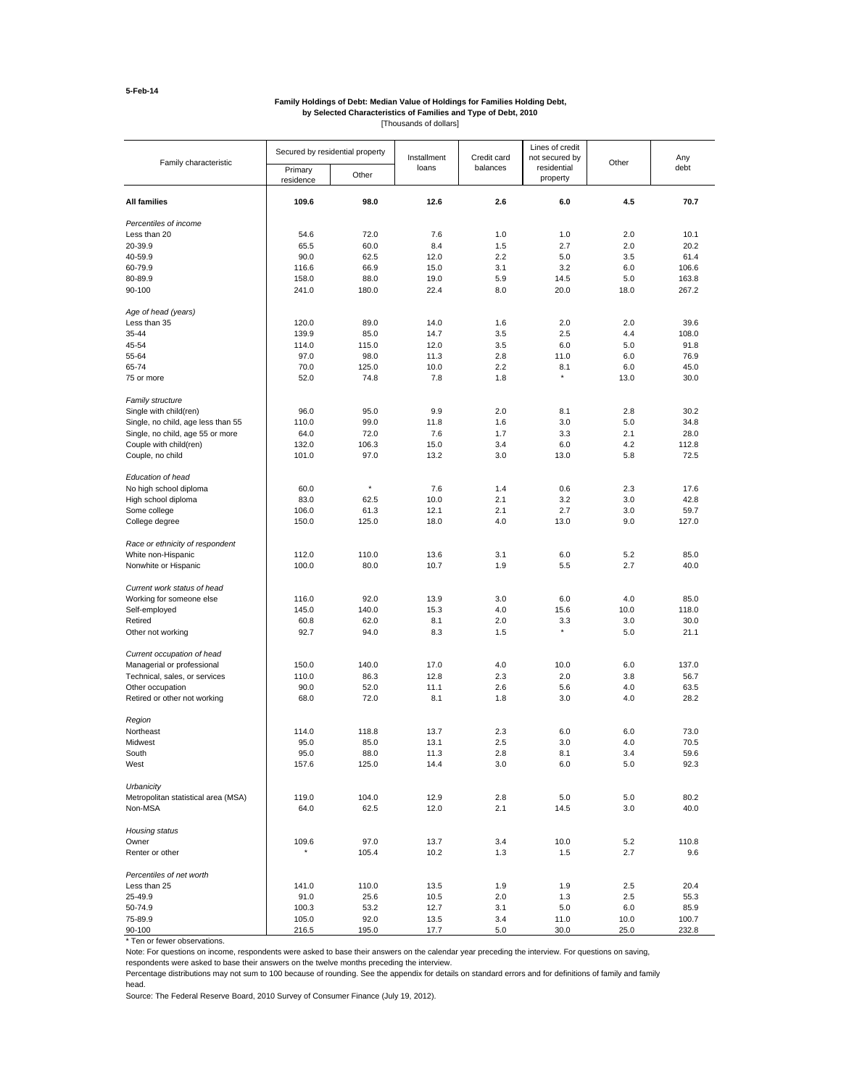#### **Family Holdings of Debt: Median Value of Holdings for Families Holding Debt, by Selected Characteristics of Families and Type of Debt, 2010**

[Thousands of dollars]

|                                     |                                 |         |             |             | Lines of credit         |         |       |
|-------------------------------------|---------------------------------|---------|-------------|-------------|-------------------------|---------|-------|
| Family characteristic               | Secured by residential property |         | Installment | Credit card | not secured by          | Other   | Any   |
|                                     | Primary<br>residence            | Other   | loans       | balances    | residential<br>property |         | debt  |
| <b>All families</b>                 | 109.6                           | 98.0    | 12.6        | 2.6         | 6.0                     | 4.5     | 70.7  |
| Percentiles of income               |                                 |         |             |             |                         |         |       |
| Less than 20                        | 54.6                            | 72.0    | 7.6         | 1.0         | 1.0                     | 2.0     | 10.1  |
| 20-39.9                             | 65.5                            | 60.0    | 8.4         | 1.5         | 2.7                     | 2.0     | 20.2  |
| 40-59.9                             | 90.0                            | 62.5    | 12.0        | 2.2         | 5.0                     | 3.5     | 61.4  |
| 60-79.9                             | 116.6                           | 66.9    | 15.0        | 3.1         | 3.2                     | 6.0     | 106.6 |
| 80-89.9                             | 158.0                           | 88.0    | 19.0        | 5.9         | 14.5                    | 5.0     | 163.8 |
| 90-100                              | 241.0                           | 180.0   | 22.4        | 8.0         | 20.0                    | 18.0    | 267.2 |
| Age of head (years)                 |                                 |         |             |             |                         |         |       |
| Less than 35                        | 120.0                           | 89.0    | 14.0        | 1.6         | 2.0                     | 2.0     | 39.6  |
| 35-44                               | 139.9                           | 85.0    | 14.7        | 3.5         | 2.5                     | 4.4     | 108.0 |
| 45-54                               | 114.0                           | 115.0   | 12.0        | 3.5         | 6.0                     | 5.0     | 91.8  |
| 55-64                               | 97.0                            | 98.0    | 11.3        | 2.8         | 11.0                    | 6.0     | 76.9  |
| 65-74                               | 70.0                            | 125.0   | 10.0        | 2.2         | 8.1                     | 6.0     | 45.0  |
| 75 or more                          | 52.0                            | 74.8    | 7.8         | 1.8         | $\star$                 | 13.0    | 30.0  |
| Family structure                    |                                 |         |             |             |                         |         |       |
| Single with child(ren)              | 96.0                            | 95.0    | 9.9         | 2.0         | 8.1                     | 2.8     | 30.2  |
| Single, no child, age less than 55  | 110.0                           | 99.0    | 11.8        | 1.6         | 3.0                     | 5.0     | 34.8  |
| Single, no child, age 55 or more    | 64.0                            | 72.0    | 7.6         | 1.7         | 3.3                     | 2.1     | 28.0  |
| Couple with child(ren)              | 132.0                           | 106.3   | 15.0        | 3.4         | 6.0                     | 4.2     | 112.8 |
| Couple, no child                    | 101.0                           | 97.0    | 13.2        | 3.0         | 13.0                    | 5.8     | 72.5  |
| Education of head                   |                                 |         |             |             |                         |         |       |
| No high school diploma              | 60.0                            | $\star$ | 7.6         | 1.4         | 0.6                     | 2.3     | 17.6  |
| High school diploma                 | 83.0                            | 62.5    | 10.0        | 2.1         | 3.2                     | 3.0     | 42.8  |
| Some college                        | 106.0                           | 61.3    | 12.1        | 2.1         | 2.7                     | 3.0     | 59.7  |
| College degree                      | 150.0                           | 125.0   | 18.0        | 4.0         | 13.0                    | 9.0     | 127.0 |
| Race or ethnicity of respondent     |                                 |         |             |             |                         |         |       |
| White non-Hispanic                  | 112.0                           | 110.0   | 13.6        | 3.1         | 6.0                     | 5.2     | 85.0  |
| Nonwhite or Hispanic                | 100.0                           | 80.0    | 10.7        | 1.9         | 5.5                     | 2.7     | 40.0  |
| Current work status of head         |                                 |         |             |             |                         |         |       |
| Working for someone else            | 116.0                           | 92.0    | 13.9        | 3.0         | 6.0                     | 4.0     | 85.0  |
| Self-employed                       | 145.0                           | 140.0   | 15.3        | 4.0         | 15.6                    | 10.0    | 118.0 |
| Retired                             | 60.8                            | 62.0    | 8.1         | 2.0         | 3.3                     | 3.0     | 30.0  |
| Other not working                   | 92.7                            | 94.0    | 8.3         | 1.5         | $\star$                 | 5.0     | 21.1  |
| Current occupation of head          |                                 |         |             |             |                         |         |       |
| Managerial or professional          | 150.0                           | 140.0   | 17.0        | 4.0         | 10.0                    | 6.0     | 137.0 |
| Technical, sales, or services       | 110.0                           | 86.3    | 12.8        | 2.3         | 2.0                     | 3.8     | 56.7  |
| Other occupation                    | 90.0                            | 52.0    | 11.1        | 2.6         | 5.6                     | 4.0     | 63.5  |
| Retired or other not working        | 68.0                            | 72.0    | 8.1         | 1.8         | 3.0                     | 4.0     | 28.2  |
|                                     |                                 |         |             |             |                         |         |       |
| Region<br>Northeast                 | 114.0                           | 118.8   | 13.7        | 2.3         | 6.0                     | 6.0     | 73.0  |
| Midwest                             | 95.0                            | 85.0    | 13.1        | 2.5         | 3.0                     | 4.0     | 70.5  |
| South                               | 95.0                            | 88.0    | 11.3        | 2.8         | 8.1                     | 3.4     | 59.6  |
| West                                | 157.6                           | 125.0   | 14.4        | 3.0         | 6.0                     | 5.0     | 92.3  |
| Urbanicity                          |                                 |         |             |             |                         |         |       |
| Metropolitan statistical area (MSA) | 119.0                           | 104.0   | 12.9        | 2.8         | 5.0                     | $5.0\,$ | 80.2  |
| Non-MSA                             | 64.0                            |         |             | 2.1         |                         | 3.0     | 40.0  |
|                                     |                                 | 62.5    | 12.0        |             | 14.5                    |         |       |
| Housing status                      |                                 |         |             |             |                         |         |       |
| Owner                               | 109.6                           | 97.0    | 13.7        | 3.4         | 10.0                    | $5.2\,$ | 110.8 |
| Renter or other                     | $\pmb{\ast}$                    | 105.4   | 10.2        | 1.3         | 1.5                     | 2.7     | 9.6   |
| Percentiles of net worth            |                                 |         |             |             |                         |         |       |
| Less than 25                        | 141.0                           | 110.0   | 13.5        | 1.9         | 1.9                     | 2.5     | 20.4  |
| 25-49.9                             | 91.0                            | 25.6    | 10.5        | 2.0         | 1.3                     | 2.5     | 55.3  |
| 50-74.9                             | 100.3                           | 53.2    | 12.7        | 3.1         | 5.0                     | 6.0     | 85.9  |
| 75-89.9                             | 105.0                           | 92.0    | 13.5        | 3.4         | 11.0                    | 10.0    | 100.7 |
| 90-100                              | 216.5                           | 195.0   | 17.7        | 5.0         | 30.0                    | 25.0    | 232.8 |

\* Ten or fewer observations.

Note: For questions on income, respondents were asked to base their answers on the calendar year preceding the interview. For questions on saving,

respondents were asked to base their answers on the twelve months preceding the interview.

Percentage distributions may not sum to 100 because of rounding. See the appendix for details on standard errors and for definitions of family and family head.

Source: The Federal Reserve Board, 2010 Survey of Consumer Finance (July 19, 2012).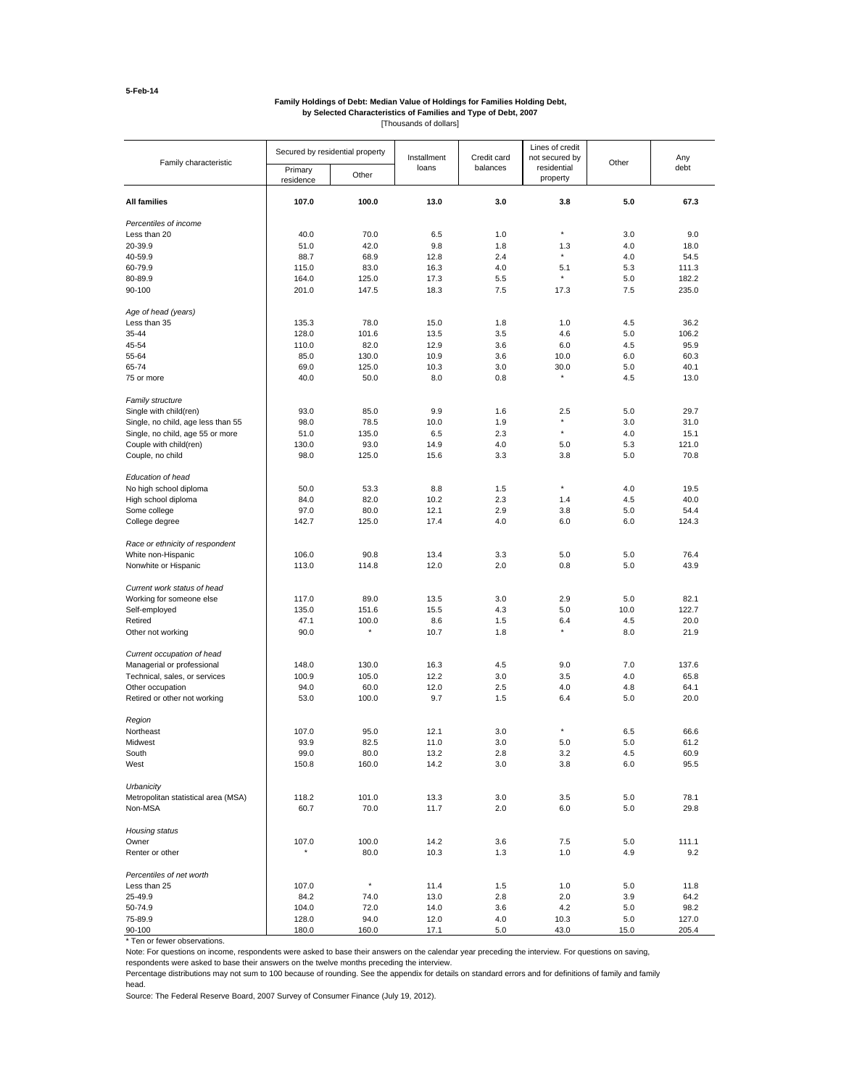#### **Family Holdings of Debt: Median Value of Holdings for Families Holding Debt, by Selected Characteristics of Families and Type of Debt, 2007**

[Thousands of dollars]

| Family characteristic               | Secured by residential property |                  | Installment | Credit card | Lines of credit<br>not secured by |            | Any           |
|-------------------------------------|---------------------------------|------------------|-------------|-------------|-----------------------------------|------------|---------------|
|                                     | Primary<br>residence            | Other            | loans       | balances    | residential<br>property           | Other      | debt          |
| <b>All families</b>                 | 107.0                           | 100.0            | 13.0        | 3.0         | 3.8                               | 5.0        | 67.3          |
| Percentiles of income               |                                 |                  |             |             |                                   |            |               |
| Less than 20                        | 40.0                            | 70.0             | 6.5         | 1.0         | $\star$                           | 3.0        | 9.0           |
| 20-39.9                             | 51.0                            | 42.0             | 9.8         | 1.8         | 1.3                               | 4.0        | 18.0          |
| 40-59.9                             | 88.7                            | 68.9             | 12.8        | 2.4         | ×                                 | 4.0        | 54.5          |
| 60-79.9                             | 115.0                           | 83.0             | 16.3        | 4.0         | 5.1                               | 5.3        | 111.3         |
| 80-89.9                             | 164.0                           | 125.0            | 17.3        | 5.5         |                                   | 5.0        | 182.2         |
| 90-100                              | 201.0                           | 147.5            | 18.3        | 7.5         | 17.3                              | 7.5        | 235.0         |
| Age of head (years)                 |                                 |                  |             |             |                                   |            |               |
| Less than 35                        | 135.3                           | 78.0             | 15.0        | 1.8         | 1.0                               | 4.5        | 36.2          |
| 35-44                               | 128.0                           | 101.6            | 13.5        | 3.5         | 4.6                               | 5.0        | 106.2         |
| 45-54                               | 110.0                           | 82.0             | 12.9        | 3.6         | 6.0                               | 4.5        | 95.9          |
| 55-64                               | 85.0                            | 130.0            | 10.9        | 3.6         | 10.0                              | 6.0        | 60.3          |
| 65-74                               | 69.0                            | 125.0            | 10.3        | 3.0         | 30.0                              | 5.0        | 40.1          |
| 75 or more                          | 40.0                            | 50.0             | 8.0         | 0.8         |                                   | 4.5        | 13.0          |
| Family structure                    |                                 |                  |             |             |                                   |            |               |
| Single with child(ren)              | 93.0                            | 85.0             | 9.9         | 1.6         | 2.5                               | 5.0        | 29.7          |
| Single, no child, age less than 55  | 98.0                            | 78.5             | 10.0        | 1.9         | $\star$                           | 3.0        | 31.0          |
| Single, no child, age 55 or more    | 51.0                            | 135.0            | 6.5<br>14.9 | 2.3<br>4.0  |                                   | 4.0<br>5.3 | 15.1<br>121.0 |
| Couple with child(ren)              | 130.0                           | 93.0             |             |             | 5.0                               |            |               |
| Couple, no child                    | 98.0                            | 125.0            | 15.6        | 3.3         | 3.8                               | 5.0        | 70.8          |
| Education of head                   |                                 |                  |             |             |                                   |            |               |
| No high school diploma              | 50.0                            | 53.3             | 8.8         | 1.5         | ×                                 | 4.0        | 19.5          |
| High school diploma                 | 84.0                            | 82.0             | 10.2        | 2.3         | 1.4                               | 4.5        | 40.0          |
| Some college                        | 97.0                            | 80.0             | 12.1        | 2.9         | 3.8                               | 5.0        | 54.4          |
| College degree                      | 142.7                           | 125.0            | 17.4        | 4.0         | 6.0                               | 6.0        | 124.3         |
| Race or ethnicity of respondent     |                                 |                  |             |             |                                   |            |               |
| White non-Hispanic                  | 106.0                           | 90.8             | 13.4        | 3.3         | 5.0                               | 5.0        | 76.4          |
| Nonwhite or Hispanic                | 113.0                           | 114.8            | 12.0        | 2.0         | 0.8                               | 5.0        | 43.9          |
| Current work status of head         |                                 |                  |             |             |                                   |            |               |
| Working for someone else            | 117.0                           | 89.0             | 13.5        | 3.0         | 2.9                               | 5.0        | 82.1          |
| Self-employed                       | 135.0                           | 151.6            | 15.5        | 4.3         | 5.0                               | 10.0       | 122.7         |
| Retired                             | 47.1                            | 100.0<br>$\star$ | 8.6         | 1.5         | 6.4<br>$\star$                    | 4.5        | 20.0          |
| Other not working                   | 90.0                            |                  | 10.7        | 1.8         |                                   | 8.0        | 21.9          |
| Current occupation of head          |                                 |                  |             |             |                                   |            |               |
| Managerial or professional          | 148.0                           | 130.0            | 16.3        | 4.5         | 9.0                               | 7.0        | 137.6         |
| Technical, sales, or services       | 100.9                           | 105.0            | 12.2        | 3.0         | 3.5                               | 4.0        | 65.8          |
| Other occupation                    | 94.0                            | 60.0             | 12.0        | 2.5         | 4.0                               | 4.8        | 64.1          |
| Retired or other not working        | 53.0                            | 100.0            | 9.7         | 1.5         | 6.4                               | 5.0        | 20.0          |
| Region                              |                                 |                  |             |             |                                   |            |               |
| Northeast                           | 107.0                           | 95.0             | 12.1        | 3.0         | ×                                 | 6.5        | 66.6          |
| Midwest                             | 93.9                            | 82.5             | 11.0        | 3.0         | 5.0                               | 5.0        | 61.2          |
| South                               | 99.0                            | 80.0             | 13.2        | 2.8         | 3.2                               | 4.5        | 60.9          |
| West                                | 150.8                           | 160.0            | 14.2        | 3.0         | 3.8                               | 6.0        | 95.5          |
| Urbanicity                          |                                 |                  |             |             |                                   |            |               |
| Metropolitan statistical area (MSA) | 118.2                           | 101.0            | 13.3        | 3.0         | 3.5                               | 5.0        | 78.1          |
| Non-MSA                             | 60.7                            | 70.0             | 11.7        | 2.0         | 6.0                               | 5.0        | 29.8          |
| Housing status                      |                                 |                  |             |             |                                   |            |               |
| Owner                               | 107.0                           | 100.0            | 14.2        | 3.6         | 7.5                               | 5.0        | 111.1         |
| Renter or other                     | $\pmb{\ast}$                    | 80.0             | 10.3        | 1.3         | 1.0                               | 4.9        | 9.2           |
| Percentiles of net worth            |                                 |                  |             |             |                                   |            |               |
| Less than 25                        | 107.0                           | $\star$          | 11.4        | 1.5         | 1.0                               | 5.0        | 11.8          |
| 25-49.9                             | 84.2                            | 74.0             | 13.0        | 2.8         | 2.0                               | 3.9        | 64.2          |
| 50-74.9                             | 104.0                           | 72.0             | 14.0        | 3.6         | 4.2                               | 5.0        | 98.2          |
| 75-89.9                             | 128.0                           | 94.0             | 12.0        | 4.0         | 10.3                              | 5.0        | 127.0         |
| 90-100                              | 180.0                           | 160.0            | 17.1        | 5.0         | 43.0                              | 15.0       | 205.4         |

\* Ten or fewer observations.

Note: For questions on income, respondents were asked to base their answers on the calendar year preceding the interview. For questions on saving,

respondents were asked to base their answers on the twelve months preceding the interview.

Percentage distributions may not sum to 100 because of rounding. See the appendix for details on standard errors and for definitions of family and family head.

Source: The Federal Reserve Board, 2007 Survey of Consumer Finance (July 19, 2012).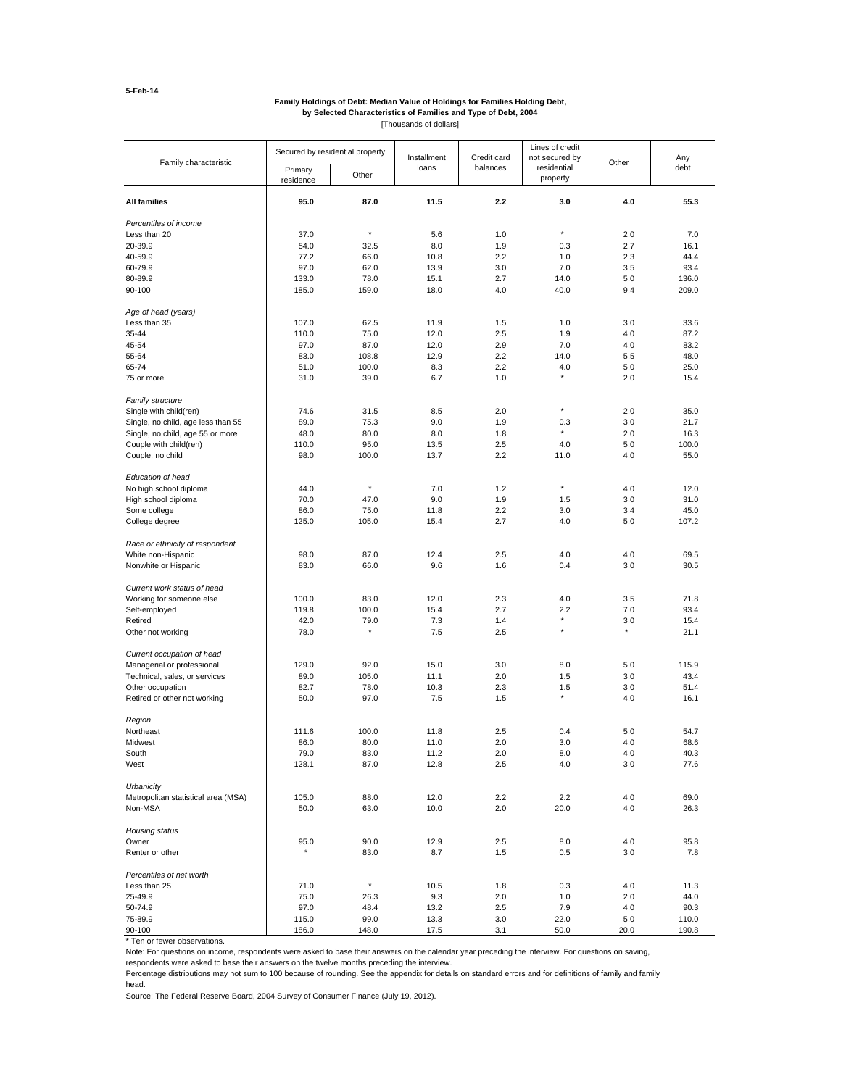#### **by Selected Characteristics of Families and Type of Debt, 2004 Family Holdings of Debt: Median Value of Holdings for Families Holding Debt,**

[Thousands of dollars]

| Family characteristic               | Secured by residential property |              | Installment | Credit card | Lines of credit<br>not secured by | Other   | Any<br>debt |
|-------------------------------------|---------------------------------|--------------|-------------|-------------|-----------------------------------|---------|-------------|
|                                     | Primary<br>residence            | Other        | loans       | balances    | residential<br>property           |         |             |
| <b>All families</b>                 | 95.0                            | 87.0         | 11.5        | 2.2         | 3.0                               | 4.0     | 55.3        |
| Percentiles of income               |                                 |              |             |             |                                   |         |             |
| Less than 20                        | 37.0                            | $\star$      | 5.6         | 1.0         | $\star$                           | 2.0     | 7.0         |
| 20-39.9                             | 54.0                            | 32.5         | 8.0         | 1.9         | 0.3                               | 2.7     | 16.1        |
| 40-59.9                             | 77.2                            | 66.0         | 10.8        | 2.2         | 1.0                               | 2.3     | 44.4        |
| 60-79.9                             | 97.0                            | 62.0         | 13.9        | 3.0         | 7.0                               | 3.5     | 93.4        |
| 80-89.9                             | 133.0                           | 78.0         | 15.1        | 2.7         | 14.0                              | 5.0     | 136.0       |
| 90-100                              | 185.0                           | 159.0        | 18.0        | 4.0         | 40.0                              | 9.4     | 209.0       |
| Age of head (years)                 |                                 |              |             |             |                                   |         |             |
| Less than 35                        | 107.0                           | 62.5         | 11.9        | 1.5         | 1.0                               | 3.0     | 33.6        |
| 35-44                               | 110.0                           | 75.0         | 12.0        | 2.5         | 1.9                               | 4.0     | 87.2        |
| 45-54                               | 97.0                            | 87.0         | 12.0        | 2.9         | 7.0                               | 4.0     | 83.2        |
| 55-64                               | 83.0                            | 108.8        | 12.9        | 2.2         | 14.0                              | 5.5     | 48.0        |
| 65-74                               | 51.0                            | 100.0        | 8.3         | 2.2         | 4.0                               | 5.0     | 25.0        |
| 75 or more                          | 31.0                            | 39.0         | 6.7         | 1.0         |                                   | 2.0     | 15.4        |
| Family structure                    |                                 |              |             |             | ×                                 |         |             |
| Single with child(ren)              | 74.6                            | 31.5         | 8.5         | 2.0         |                                   | 2.0     | 35.0        |
| Single, no child, age less than 55  | 89.0                            | 75.3         | 9.0         | 1.9         | 0.3                               | 3.0     | 21.7        |
| Single, no child, age 55 or more    | 48.0                            | 80.0         | 8.0         | 1.8         | $\star$                           | 2.0     | 16.3        |
| Couple with child(ren)              | 110.0                           | 95.0         | 13.5        | 2.5         | 4.0                               | 5.0     | 100.0       |
| Couple, no child                    | 98.0                            | 100.0        | 13.7        | 2.2         | 11.0                              | 4.0     | 55.0        |
| Education of head                   |                                 |              |             |             |                                   |         |             |
| No high school diploma              | 44.0                            | $\star$      | 7.0         | 1.2         | $\star$                           | 4.0     | 12.0        |
| High school diploma                 | 70.0                            | 47.0         | 9.0         | 1.9         | 1.5                               | 3.0     | 31.0        |
| Some college                        | 86.0                            | 75.0         | 11.8        | 2.2         | 3.0                               | 3.4     | 45.0        |
| College degree                      | 125.0                           | 105.0        | 15.4        | 2.7         | 4.0                               | 5.0     | 107.2       |
| Race or ethnicity of respondent     |                                 |              |             |             |                                   |         |             |
| White non-Hispanic                  | 98.0                            | 87.0         | 12.4        | 2.5         | 4.0                               | 4.0     | 69.5        |
| Nonwhite or Hispanic                | 83.0                            | 66.0         | 9.6         | 1.6         | 0.4                               | 3.0     | 30.5        |
| Current work status of head         |                                 |              |             |             |                                   |         |             |
| Working for someone else            | 100.0                           | 83.0         | 12.0        | 2.3         | 4.0                               | 3.5     | 71.8        |
| Self-employed                       | 119.8                           | 100.0        | 15.4        | 2.7         | 2.2                               | 7.0     | 93.4        |
| Retired                             | 42.0                            | 79.0         | 7.3         | 1.4         |                                   | 3.0     | 15.4        |
| Other not working                   | 78.0                            | $\pmb{\ast}$ | 7.5         | 2.5         | $\star$                           | $\star$ | 21.1        |
| Current occupation of head          |                                 |              |             |             |                                   |         |             |
| Managerial or professional          | 129.0                           | 92.0         | 15.0        | 3.0         | 8.0                               | 5.0     | 115.9       |
| Technical, sales, or services       | 89.0                            | 105.0        | 11.1        | 2.0         | 1.5                               | 3.0     | 43.4        |
| Other occupation                    | 82.7                            | 78.0         | 10.3        | 2.3         | 1.5                               | 3.0     | 51.4        |
| Retired or other not working        | 50.0                            | 97.0         | 7.5         | 1.5         | $\star$                           | 4.0     | 16.1        |
| Region                              |                                 |              |             |             |                                   |         |             |
| Northeast                           | 111.6                           | 100.0        | 11.8        | 2.5         | 0.4                               | 5.0     | 54.7        |
| Midwest                             | 86.0                            | 80.0         | 11.0        | 2.0         | 3.0                               | 4.0     | 68.6        |
| South                               | 79.0                            | 83.0         | 11.2        | 2.0         | 8.0                               | 4.0     | 40.3        |
| West                                | 128.1                           | 87.0         | 12.8        | 2.5         | 4.0                               | 3.0     | 77.6        |
| Urbanicity                          |                                 |              |             |             |                                   |         |             |
| Metropolitan statistical area (MSA) | 105.0                           | 88.0         | 12.0        | 2.2         | 2.2                               | 4.0     | 69.0        |
| Non-MSA                             | 50.0                            | 63.0         | 10.0        | 2.0         | 20.0                              | 4.0     | 26.3        |
| Housing status                      |                                 |              |             |             |                                   |         |             |
| Owner                               | 95.0                            | 90.0         | 12.9        | 2.5         | 8.0                               | 4.0     | 95.8        |
| Renter or other                     | $\pmb{\ast}$                    | 83.0         | 8.7         | 1.5         | 0.5                               | 3.0     | 7.8         |
| Percentiles of net worth            |                                 |              |             |             |                                   |         |             |
| Less than 25                        | 71.0                            | $\pmb{\ast}$ | 10.5        | 1.8         | 0.3                               | 4.0     | 11.3        |
| 25-49.9                             | 75.0                            | 26.3         | 9.3         | 2.0         | 1.0                               | 2.0     | 44.0        |
| 50-74.9                             | 97.0                            | 48.4         | 13.2        | 2.5         | 7.9                               | 4.0     | 90.3        |
| 75-89.9                             | 115.0                           | 99.0         | 13.3        | 3.0         | 22.0                              | 5.0     | 110.0       |
| 90-100                              | 186.0                           | 148.0        | 17.5        | 3.1         | 50.0                              | 20.0    | 190.8       |

\* Ten or fewer observations.

Note: For questions on income, respondents were asked to base their answers on the calendar year preceding the interview. For questions on saving,

respondents were asked to base their answers on the twelve months preceding the interview.

Percentage distributions may not sum to 100 because of rounding. See the appendix for details on standard errors and for definitions of family and family head.

Source: The Federal Reserve Board, 2004 Survey of Consumer Finance (July 19, 2012).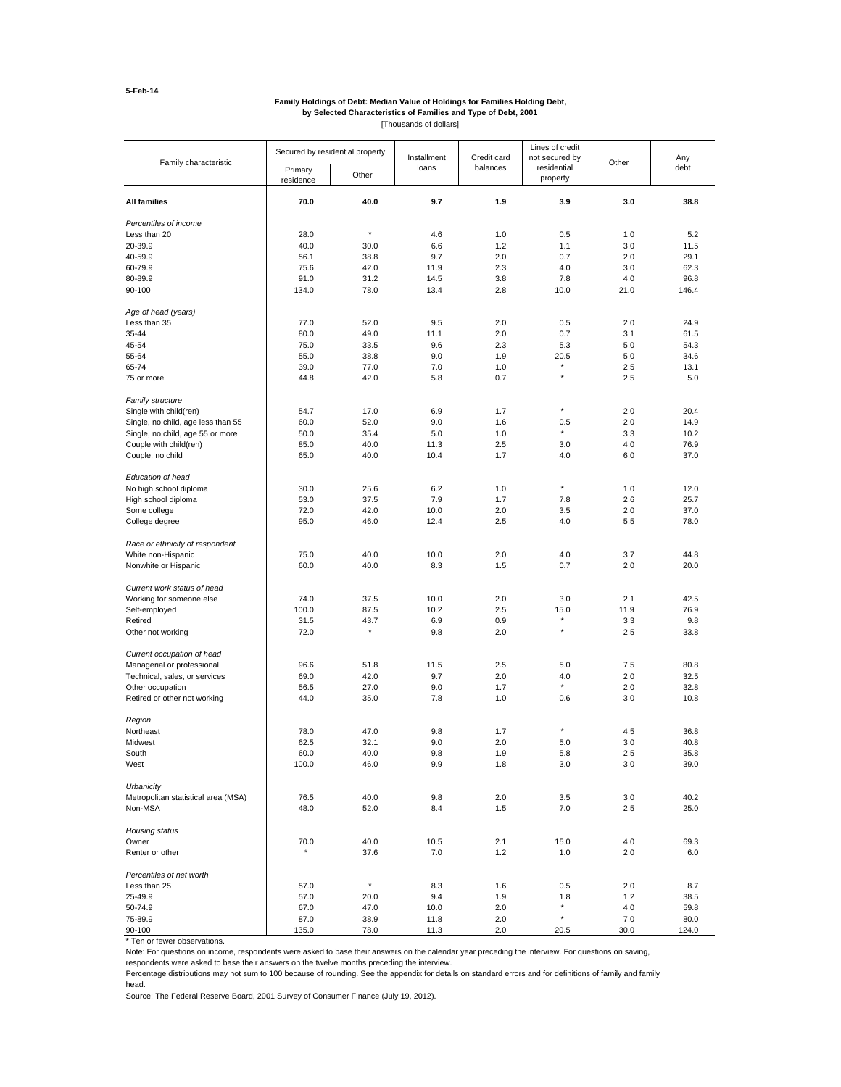#### **by Selected Characteristics of Families and Type of Debt, 2001 Family Holdings of Debt: Median Value of Holdings for Families Holding Debt,**

[Thousands of dollars]

| Family characteristic               | Secured by residential property |              | Installment | Credit card | Lines of credit<br>not secured by | Other | Any   |
|-------------------------------------|---------------------------------|--------------|-------------|-------------|-----------------------------------|-------|-------|
|                                     | Primary<br>residence            | Other        | loans       | balances    | residential<br>property           |       | debt  |
| <b>All families</b>                 | 70.0                            | 40.0         | 9.7         | 1.9         | 3.9                               | 3.0   | 38.8  |
| Percentiles of income               |                                 |              |             |             |                                   |       |       |
| Less than 20                        | 28.0                            | $\pmb{\ast}$ | 4.6         | 1.0         | 0.5                               | 1.0   | 5.2   |
| 20-39.9                             | 40.0                            | 30.0         | 6.6         | 1.2         | 1.1                               | 3.0   | 11.5  |
| 40-59.9                             | 56.1                            | 38.8         | 9.7         | 2.0         | 0.7                               | 2.0   | 29.1  |
| 60-79.9                             | 75.6                            | 42.0         | 11.9        | 2.3         | 4.0                               | 3.0   | 62.3  |
| 80-89.9                             | 91.0                            | 31.2         | 14.5        | 3.8         | 7.8                               | 4.0   | 96.8  |
| 90-100                              | 134.0                           | 78.0         | 13.4        | 2.8         | 10.0                              | 21.0  | 146.4 |
| Age of head (years)                 |                                 |              |             |             |                                   |       |       |
| Less than 35                        | 77.0                            | 52.0         | 9.5         | 2.0         | 0.5                               | 2.0   | 24.9  |
| 35-44                               | 80.0                            | 49.0         | 11.1        | 2.0         | 0.7                               | 3.1   | 61.5  |
| 45-54                               | 75.0                            | 33.5         | 9.6         | 2.3         | 5.3                               | 5.0   | 54.3  |
| 55-64                               | 55.0                            | 38.8         | 9.0         | 1.9         | 20.5                              | 5.0   | 34.6  |
| 65-74                               | 39.0                            | 77.0         | 7.0         | 1.0         | ×<br>$\star$                      | 2.5   | 13.1  |
| 75 or more                          | 44.8                            | 42.0         | 5.8         | 0.7         |                                   | 2.5   | 5.0   |
| Family structure                    |                                 |              |             |             | ×                                 |       |       |
| Single with child(ren)              | 54.7                            | 17.0         | 6.9         | 1.7         |                                   | 2.0   | 20.4  |
| Single, no child, age less than 55  | 60.0                            | 52.0         | 9.0         | 1.6         | 0.5<br>$\star$                    | 2.0   | 14.9  |
| Single, no child, age 55 or more    | 50.0                            | 35.4         | 5.0         | 1.0         |                                   | 3.3   | 10.2  |
| Couple with child(ren)              | 85.0                            | 40.0         | 11.3        | 2.5         | 3.0                               | 4.0   | 76.9  |
| Couple, no child                    | 65.0                            | 40.0         | 10.4        | 1.7         | 4.0                               | 6.0   | 37.0  |
| Education of head                   |                                 |              |             |             |                                   |       |       |
| No high school diploma              | 30.0                            | 25.6         | 6.2         | 1.0         | $\star$                           | 1.0   | 12.0  |
| High school diploma                 | 53.0                            | 37.5         | 7.9         | 1.7         | 7.8                               | 2.6   | 25.7  |
| Some college                        | 72.0                            | 42.0         | 10.0        | 2.0         | 3.5                               | 2.0   | 37.0  |
| College degree                      | 95.0                            | 46.0         | 12.4        | 2.5         | 4.0                               | 5.5   | 78.0  |
| Race or ethnicity of respondent     |                                 |              |             |             |                                   |       |       |
| White non-Hispanic                  | 75.0                            | 40.0         | 10.0        | 2.0         | 4.0                               | 3.7   | 44.8  |
| Nonwhite or Hispanic                | 60.0                            | 40.0         | 8.3         | 1.5         | 0.7                               | 2.0   | 20.0  |
| Current work status of head         |                                 |              |             |             |                                   |       |       |
| Working for someone else            | 74.0                            | 37.5         | 10.0        | 2.0         | 3.0                               | 2.1   | 42.5  |
| Self-employed                       | 100.0                           | 87.5         | 10.2        | 2.5         | 15.0                              | 11.9  | 76.9  |
| Retired                             | 31.5                            | 43.7         | 6.9         | 0.9         | $\star$                           | 3.3   | 9.8   |
| Other not working                   | 72.0                            | $\star$      | 9.8         | 2.0         | $\star$                           | 2.5   | 33.8  |
| Current occupation of head          |                                 |              |             |             |                                   |       |       |
| Managerial or professional          | 96.6                            | 51.8         | 11.5        | 2.5         | 5.0                               | 7.5   | 80.8  |
| Technical, sales, or services       | 69.0                            | 42.0         | 9.7         | 2.0         | 4.0                               | 2.0   | 32.5  |
| Other occupation                    | 56.5                            | 27.0         | 9.0         | 1.7         | $\star$                           | 2.0   | 32.8  |
| Retired or other not working        | 44.0                            | 35.0         | 7.8         | 1.0         | 0.6                               | 3.0   | 10.8  |
| Region                              |                                 |              |             |             |                                   |       |       |
| Northeast                           | 78.0                            | 47.0         | 9.8         | 1.7         | $\star$                           | 4.5   | 36.8  |
| Midwest                             | 62.5                            | 32.1         | 9.0         | 2.0         | 5.0                               | 3.0   | 40.8  |
| South                               | 60.0                            | 40.0         | 9.8         | 1.9         | 5.8                               | 2.5   | 35.8  |
| West                                | 100.0                           | 46.0         | 9.9         | 1.8         | 3.0                               | 3.0   | 39.0  |
| Urbanicity                          |                                 |              |             |             |                                   |       |       |
| Metropolitan statistical area (MSA) | 76.5                            | 40.0         | 9.8         | 2.0         | 3.5                               | 3.0   | 40.2  |
| Non-MSA                             | 48.0                            | 52.0         | 8.4         | 1.5         | 7.0                               | 2.5   | 25.0  |
| Housing status                      |                                 |              |             |             |                                   |       |       |
| Owner                               | 70.0                            | 40.0         | 10.5        | 2.1         | 15.0                              | 4.0   | 69.3  |
| Renter or other                     | $\pmb{\ast}$                    | 37.6         | 7.0         | 1.2         | 1.0                               | 2.0   | 6.0   |
| Percentiles of net worth            |                                 |              |             |             |                                   |       |       |
| Less than 25                        | 57.0                            | $\star$      | 8.3         | 1.6         | 0.5                               | 2.0   | 8.7   |
| 25-49.9                             | 57.0                            | 20.0         | 9.4         | 1.9         | 1.8                               | 1.2   | 38.5  |
| 50-74.9                             | 67.0                            | 47.0         | 10.0        | 2.0         | ×<br>$\star$                      | 4.0   | 59.8  |
| 75-89.9                             | 87.0                            | 38.9         | 11.8        | 2.0         |                                   | 7.0   | 80.0  |
| 90-100                              | 135.0                           | 78.0         | 11.3        | 2.0         | 20.5                              | 30.0  | 124.0 |

\* Ten or fewer observations.

Note: For questions on income, respondents were asked to base their answers on the calendar year preceding the interview. For questions on saving,

respondents were asked to base their answers on the twelve months preceding the interview.

Percentage distributions may not sum to 100 because of rounding. See the appendix for details on standard errors and for definitions of family and family head.

Source: The Federal Reserve Board, 2001 Survey of Consumer Finance (July 19, 2012).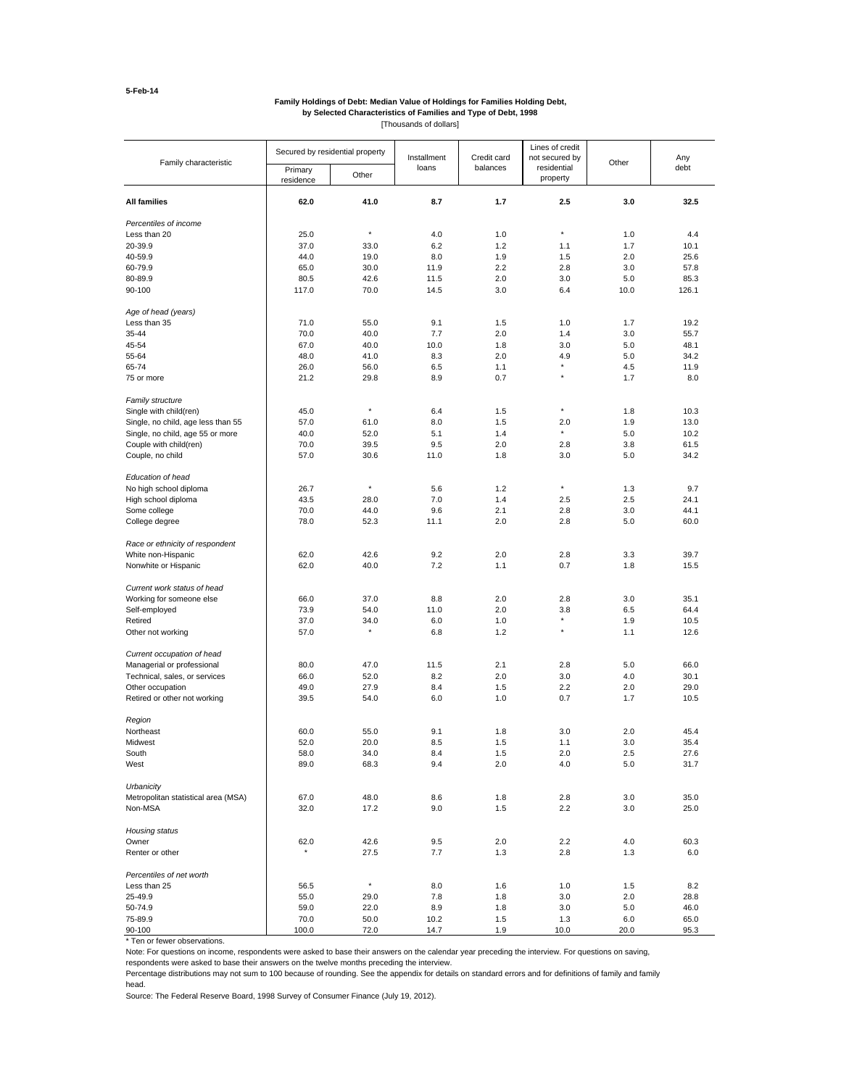#### **by Selected Characteristics of Families and Type of Debt, 1998 Family Holdings of Debt: Median Value of Holdings for Families Holding Debt,**

[Thousands of dollars]

| Family characteristic               | Secured by residential property |              | Installment | Credit card | Lines of credit<br>not secured by | Other | Any   |
|-------------------------------------|---------------------------------|--------------|-------------|-------------|-----------------------------------|-------|-------|
|                                     | Primary<br>residence            | Other        | loans       | balances    | residential<br>property           |       | debt  |
| <b>All families</b>                 | 62.0                            | 41.0         | 8.7         | 1.7         | 2.5                               | 3.0   | 32.5  |
| Percentiles of income               |                                 |              |             |             |                                   |       |       |
| Less than 20                        | 25.0                            | $\star$      | 4.0         | 1.0         | ×                                 | 1.0   | 4.4   |
| 20-39.9                             | 37.0                            | 33.0         | 6.2         | 1.2         | 1.1                               | 1.7   | 10.1  |
| 40-59.9                             | 44.0                            | 19.0         | 8.0         | 1.9         | 1.5                               | 2.0   | 25.6  |
| 60-79.9                             | 65.0                            | 30.0         | 11.9        | 2.2         | 2.8                               | 3.0   | 57.8  |
| 80-89.9                             | 80.5                            | 42.6         | 11.5        | 2.0         | 3.0                               | 5.0   | 85.3  |
| 90-100                              | 117.0                           | 70.0         | 14.5        | 3.0         | 6.4                               | 10.0  | 126.1 |
| Age of head (years)                 |                                 |              |             |             |                                   |       |       |
| Less than 35                        | 71.0                            | 55.0         | 9.1         | 1.5         | 1.0                               | 1.7   | 19.2  |
| 35-44                               | 70.0                            | 40.0         | 7.7         | 2.0         | 1.4                               | 3.0   | 55.7  |
| 45-54                               | 67.0                            | 40.0         | 10.0        | 1.8         | 3.0                               | 5.0   | 48.1  |
| 55-64                               | 48.0                            | 41.0         | 8.3         | 2.0         | 4.9                               | 5.0   | 34.2  |
| 65-74                               | 26.0                            | 56.0         | 6.5         | 1.1         | ×                                 | 4.5   | 11.9  |
| 75 or more                          | 21.2                            | 29.8         | 8.9         | 0.7         | ×                                 | 1.7   | 8.0   |
| Family structure                    |                                 | $\pmb{\ast}$ |             |             | ×                                 |       |       |
| Single with child(ren)              | 45.0                            |              | 6.4         | 1.5         |                                   | 1.8   | 10.3  |
| Single, no child, age less than 55  | 57.0                            | 61.0         | 8.0         | 1.5         | 2.0<br>$\pmb{\ast}$               | 1.9   | 13.0  |
| Single, no child, age 55 or more    | 40.0                            | 52.0         | 5.1         | 1.4         |                                   | 5.0   | 10.2  |
| Couple with child(ren)              | 70.0                            | 39.5         | 9.5         | 2.0         | 2.8                               | 3.8   | 61.5  |
| Couple, no child                    | 57.0                            | 30.6         | 11.0        | 1.8         | 3.0                               | 5.0   | 34.2  |
| Education of head                   |                                 |              |             |             |                                   |       |       |
| No high school diploma              | 26.7                            | $\star$      | 5.6         | 1.2         | ×                                 | 1.3   | 9.7   |
| High school diploma                 | 43.5                            | 28.0         | 7.0         | 1.4         | 2.5                               | 2.5   | 24.1  |
| Some college                        | 70.0                            | 44.0         | 9.6         | 2.1         | 2.8                               | 3.0   | 44.1  |
| College degree                      | 78.0                            | 52.3         | 11.1        | 2.0         | 2.8                               | 5.0   | 60.0  |
| Race or ethnicity of respondent     |                                 |              |             |             |                                   |       |       |
| White non-Hispanic                  | 62.0                            | 42.6         | 9.2         | 2.0         | 2.8                               | 3.3   | 39.7  |
| Nonwhite or Hispanic                | 62.0                            | 40.0         | 7.2         | 1.1         | 0.7                               | 1.8   | 15.5  |
| Current work status of head         |                                 |              |             |             |                                   |       |       |
| Working for someone else            | 66.0                            | 37.0         | 8.8         | 2.0         | 2.8                               | 3.0   | 35.1  |
| Self-employed                       | 73.9                            | 54.0         | 11.0        | 2.0         | 3.8                               | 6.5   | 64.4  |
| Retired                             | 37.0                            | 34.0         | 6.0         | 1.0         | ×                                 | 1.9   | 10.5  |
| Other not working                   | 57.0                            | $\pmb{\ast}$ | 6.8         | 1.2         | ×                                 | 1.1   | 12.6  |
| Current occupation of head          |                                 |              |             |             |                                   |       |       |
| Managerial or professional          | 80.0                            | 47.0         | 11.5        | 2.1         | 2.8                               | 5.0   | 66.0  |
| Technical, sales, or services       | 66.0                            | 52.0         | 8.2         | 2.0         | 3.0                               | 4.0   | 30.1  |
| Other occupation                    | 49.0                            | 27.9         | 8.4         | 1.5         | 2.2                               | 2.0   | 29.0  |
| Retired or other not working        | 39.5                            | 54.0         | 6.0         | 1.0         | 0.7                               | 1.7   | 10.5  |
| Region                              |                                 |              |             |             |                                   |       |       |
| Northeast                           | 60.0                            | 55.0         | 9.1         | 1.8         | 3.0                               | 2.0   | 45.4  |
| Midwest                             | 52.0                            | 20.0         | 8.5         | 1.5         | 1.1                               | 3.0   | 35.4  |
| South                               | 58.0                            | 34.0         | 8.4         | 1.5         | 2.0                               | 2.5   | 27.6  |
| West                                | 89.0                            | 68.3         | 9.4         | 2.0         | 4.0                               | 5.0   | 31.7  |
| Urbanicity                          |                                 |              |             |             |                                   |       |       |
| Metropolitan statistical area (MSA) | 67.0                            | 48.0         | 8.6         | 1.8         | 2.8                               | 3.0   | 35.0  |
| Non-MSA                             | 32.0                            | 17.2         | 9.0         | 1.5         | 2.2                               | 3.0   | 25.0  |
| Housing status                      |                                 |              |             |             |                                   |       |       |
| Owner                               | 62.0                            | 42.6         | 9.5         | 2.0         | 2.2                               | 4.0   | 60.3  |
| Renter or other                     | $\pmb{\ast}$                    | 27.5         | 7.7         | 1.3         | 2.8                               | 1.3   | 6.0   |
| Percentiles of net worth            |                                 | $\pmb{\ast}$ |             |             |                                   |       |       |
| Less than 25                        | 56.5                            |              | 8.0         | 1.6         | 1.0                               | 1.5   | 8.2   |
| 25-49.9                             | 55.0                            | 29.0         | 7.8         | 1.8         | 3.0                               | 2.0   | 28.8  |
| 50-74.9                             | 59.0                            | 22.0         | 8.9         | 1.8         | 3.0                               | 5.0   | 46.0  |
| 75-89.9                             | 70.0                            | 50.0         | 10.2        | 1.5         | 1.3                               | 6.0   | 65.0  |
| 90-100                              | 100.0                           | 72.0         | 14.7        | 1.9         | 10.0                              | 20.0  | 95.3  |

\* Ten or fewer observations.

Note: For questions on income, respondents were asked to base their answers on the calendar year preceding the interview. For questions on saving,

respondents were asked to base their answers on the twelve months preceding the interview.

Percentage distributions may not sum to 100 because of rounding. See the appendix for details on standard errors and for definitions of family and family head.

Source: The Federal Reserve Board, 1998 Survey of Consumer Finance (July 19, 2012).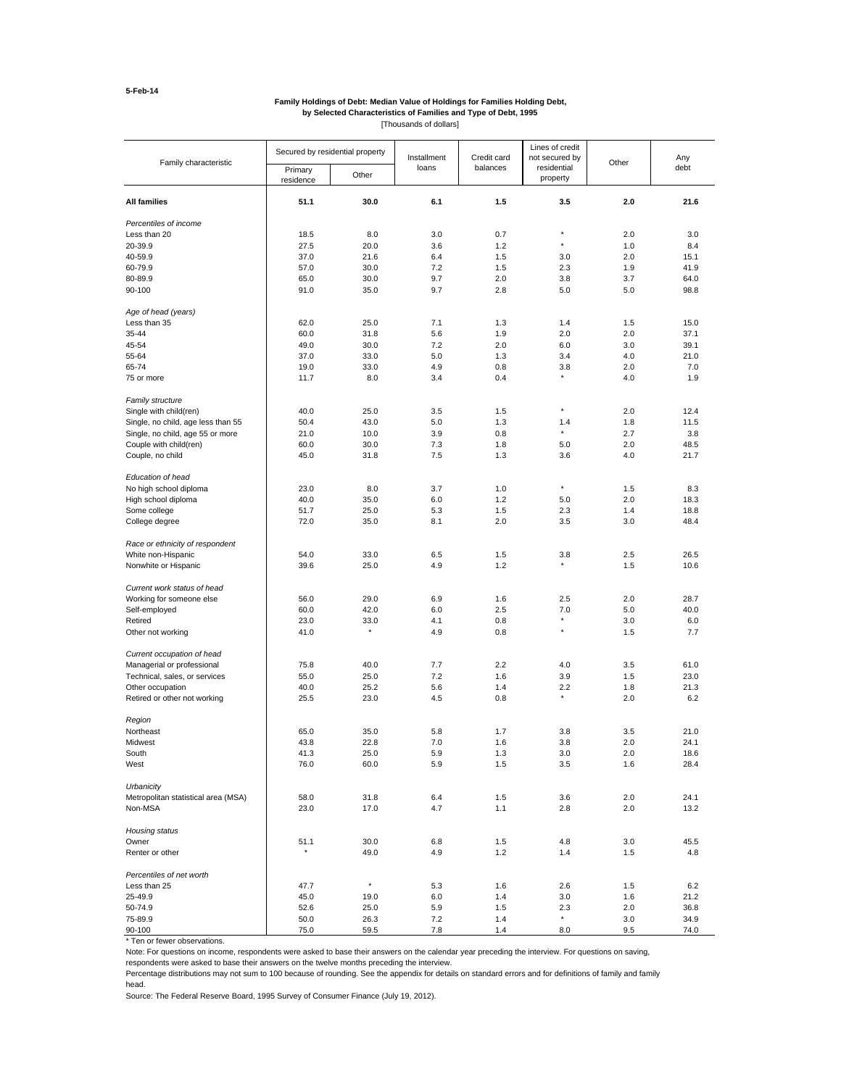#### **by Selected Characteristics of Families and Type of Debt, 1995 Family Holdings of Debt: Median Value of Holdings for Families Holding Debt,**

[Thousands of dollars]

| Family characteristic               | Secured by residential property |         | Installment | Credit card | Lines of credit<br>not secured by | Other | Any  |
|-------------------------------------|---------------------------------|---------|-------------|-------------|-----------------------------------|-------|------|
|                                     | Primary<br>residence            | Other   | loans       | balances    | residential<br>property           |       | debt |
| <b>All families</b>                 | 51.1                            | 30.0    | 6.1         | 1.5         | 3.5                               | 2.0   | 21.6 |
| Percentiles of income               |                                 |         |             |             |                                   |       |      |
| Less than 20                        | 18.5                            | 8.0     | 3.0         | 0.7         | ×                                 | 2.0   | 3.0  |
| 20-39.9                             | 27.5                            | 20.0    | 3.6         | 1.2         | $\star$                           | 1.0   | 8.4  |
| 40-59.9                             | 37.0                            | 21.6    | 6.4         | 1.5         | 3.0                               | 2.0   | 15.1 |
| 60-79.9                             | 57.0                            | 30.0    | 7.2         | 1.5         | 2.3                               | 1.9   | 41.9 |
| 80-89.9                             | 65.0                            | 30.0    | 9.7         | 2.0         | 3.8                               | 3.7   | 64.0 |
| 90-100                              | 91.0                            | 35.0    | 9.7         | 2.8         | 5.0                               | 5.0   | 98.8 |
| Age of head (years)                 |                                 |         |             |             |                                   |       |      |
| Less than 35                        | 62.0                            | 25.0    | 7.1         | 1.3         | 1.4                               | 1.5   | 15.0 |
| 35-44                               | 60.0                            | 31.8    | 5.6         | 1.9         | 2.0                               | 2.0   | 37.1 |
| 45-54                               | 49.0                            | 30.0    | 7.2         | 2.0         | 6.0                               | 3.0   | 39.1 |
| 55-64                               | 37.0                            | 33.0    | 5.0         | 1.3         | 3.4                               | 4.0   | 21.0 |
| 65-74                               | 19.0                            | 33.0    | 4.9         | 0.8         | 3.8                               | 2.0   | 7.0  |
| 75 or more                          | 11.7                            | 8.0     | 3.4         | 0.4         |                                   | 4.0   | 1.9  |
| Family structure                    |                                 |         |             |             | ×                                 |       |      |
| Single with child(ren)              | 40.0                            | 25.0    | 3.5         | 1.5         |                                   | 2.0   | 12.4 |
| Single, no child, age less than 55  | 50.4                            | 43.0    | 5.0         | 1.3         | 1.4<br>$\star$                    | 1.8   | 11.5 |
| Single, no child, age 55 or more    | 21.0                            | 10.0    | 3.9         | 0.8         |                                   | 2.7   | 3.8  |
| Couple with child(ren)              | 60.0                            | 30.0    | 7.3         | 1.8         | 5.0                               | 2.0   | 48.5 |
| Couple, no child                    | 45.0                            | 31.8    | 7.5         | 1.3         | 3.6                               | 4.0   | 21.7 |
| Education of head                   |                                 |         |             |             |                                   |       |      |
| No high school diploma              | 23.0                            | 8.0     | 3.7         | 1.0         | $\star$                           | 1.5   | 8.3  |
| High school diploma                 | 40.0                            | 35.0    | 6.0         | 1.2         | 5.0                               | 2.0   | 18.3 |
| Some college                        | 51.7                            | 25.0    | 5.3         | 1.5         | 2.3                               | 1.4   | 18.8 |
| College degree                      | 72.0                            | 35.0    | 8.1         | 2.0         | 3.5                               | 3.0   | 48.4 |
| Race or ethnicity of respondent     |                                 |         |             |             |                                   |       |      |
| White non-Hispanic                  | 54.0                            | 33.0    | 6.5         | 1.5         | 3.8                               | 2.5   | 26.5 |
| Nonwhite or Hispanic                | 39.6                            | 25.0    | 4.9         | 1.2         |                                   | 1.5   | 10.6 |
| Current work status of head         |                                 |         |             |             |                                   |       |      |
| Working for someone else            | 56.0                            | 29.0    | 6.9         | 1.6         | 2.5                               | 2.0   | 28.7 |
| Self-employed                       | 60.0                            | 42.0    | 6.0         | 2.5         | 7.0                               | 5.0   | 40.0 |
| Retired                             | 23.0                            | 33.0    | 4.1         | 0.8         |                                   | 3.0   | 6.0  |
| Other not working                   | 41.0                            | $\star$ | 4.9         | 0.8         | ×                                 | 1.5   | 7.7  |
| Current occupation of head          |                                 |         |             |             |                                   |       |      |
| Managerial or professional          | 75.8                            | 40.0    | 7.7         | 2.2         | 4.0                               | 3.5   | 61.0 |
| Technical, sales, or services       | 55.0                            | 25.0    | 7.2         | 1.6         | 3.9                               | 1.5   | 23.0 |
| Other occupation                    | 40.0                            | 25.2    | 5.6         | 1.4         | 2.2                               | 1.8   | 21.3 |
| Retired or other not working        | 25.5                            | 23.0    | 4.5         | 0.8         |                                   | 2.0   | 6.2  |
| Region                              |                                 |         |             |             |                                   |       |      |
| Northeast                           | 65.0                            | 35.0    | 5.8         | 1.7         | 3.8                               | 3.5   | 21.0 |
| Midwest                             | 43.8                            | 22.8    | 7.0         | 1.6         | 3.8                               | 2.0   | 24.1 |
| South                               | 41.3                            | 25.0    | 5.9         | 1.3         | 3.0                               | 2.0   | 18.6 |
| West                                | 76.0                            | 60.0    | 5.9         | 1.5         | 3.5                               | 1.6   | 28.4 |
| Urbanicity                          |                                 |         |             |             |                                   |       |      |
| Metropolitan statistical area (MSA) | 58.0                            | 31.8    | 6.4         | 1.5         | 3.6                               | 2.0   | 24.1 |
| Non-MSA                             | 23.0                            | 17.0    | 4.7         | 1.1         | 2.8                               | 2.0   | 13.2 |
| Housing status                      |                                 |         |             |             |                                   |       |      |
| Owner                               | 51.1                            | 30.0    | 6.8         | 1.5         | 4.8                               | 3.0   | 45.5 |
| Renter or other                     |                                 | 49.0    | 4.9         | 1.2         | 1.4                               | 1.5   | 4.8  |
| Percentiles of net worth            |                                 |         |             |             |                                   |       |      |
| Less than 25                        | 47.7                            | $\star$ | 5.3         | 1.6         | 2.6                               | 1.5   | 6.2  |
| 25-49.9                             | 45.0                            | 19.0    | 6.0         | 1.4         | 3.0                               | 1.6   | 21.2 |
| 50-74.9                             | 52.6                            | 25.0    | 5.9         | 1.5         | 2.3                               | 2.0   | 36.8 |
| 75-89.9                             | 50.0                            | 26.3    | 7.2         | 1.4         | $\star$                           | 3.0   | 34.9 |
| 90-100                              | 75.0                            | 59.5    | 7.8         | 1.4         | 8.0                               | 9.5   | 74.0 |

\* Ten or fewer observations.

Note: For questions on income, respondents were asked to base their answers on the calendar year preceding the interview. For questions on saving,

respondents were asked to base their answers on the twelve months preceding the interview.

Percentage distributions may not sum to 100 because of rounding. See the appendix for details on standard errors and for definitions of family and family head.

Source: The Federal Reserve Board, 1995 Survey of Consumer Finance (July 19, 2012).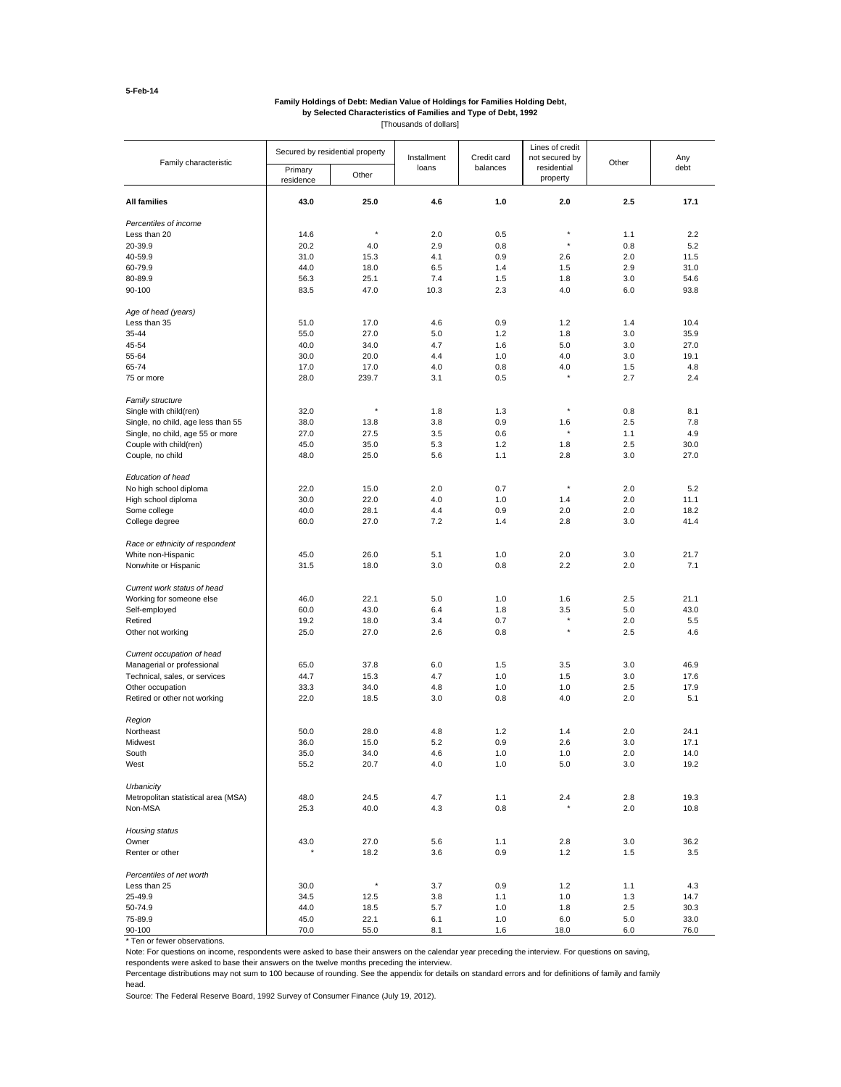#### **by Selected Characteristics of Families and Type of Debt, 1992 Family Holdings of Debt: Median Value of Holdings for Families Holding Debt,**

[Thousands of dollars]

| Family characteristic                             |                      | Secured by residential property |            | Credit card | Lines of credit<br>not secured by | Other      | Any          |
|---------------------------------------------------|----------------------|---------------------------------|------------|-------------|-----------------------------------|------------|--------------|
|                                                   | Primary<br>residence | Other                           | loans      | balances    | residential<br>property           |            | debt         |
| <b>All families</b>                               | 43.0                 | 25.0                            | 4.6        | 1.0         | 2.0                               | 2.5        | 17.1         |
| Percentiles of income                             |                      |                                 |            |             |                                   |            |              |
| Less than 20                                      | 14.6                 | $\star$                         | 2.0        | 0.5         | ×                                 | 1.1        | 2.2          |
| 20-39.9                                           | 20.2                 | 4.0                             | 2.9        | 0.8         | $\star$                           | 0.8        | 5.2          |
| 40-59.9                                           | 31.0                 | 15.3                            | 4.1        | 0.9         | 2.6                               | 2.0        | 11.5         |
| 60-79.9                                           | 44.0                 | 18.0                            | 6.5        | 1.4         | 1.5                               | 2.9        | 31.0         |
| 80-89.9                                           | 56.3                 | 25.1                            | 7.4        | 1.5         | 1.8                               | 3.0        | 54.6         |
| 90-100                                            | 83.5                 | 47.0                            | 10.3       | 2.3         | 4.0                               | 6.0        | 93.8         |
| Age of head (years)                               |                      |                                 |            |             |                                   |            |              |
| Less than 35                                      | 51.0                 | 17.0                            | 4.6        | 0.9         | 1.2                               | 1.4        | 10.4         |
| 35-44                                             | 55.0                 | 27.0                            | 5.0        | 1.2         | 1.8                               | 3.0        | 35.9         |
| 45-54                                             | 40.0                 | 34.0                            | 4.7        | 1.6         | 5.0                               | 3.0        | 27.0         |
| 55-64                                             | 30.0                 | 20.0                            | 4.4        | 1.0         | 4.0                               | 3.0        | 19.1         |
| 65-74                                             | 17.0                 | 17.0                            | 4.0        | 0.8         | 4.0                               | 1.5        | 4.8          |
| 75 or more                                        | 28.0                 | 239.7                           | 3.1        | 0.5         |                                   | 2.7        | 2.4          |
| Family structure                                  |                      | $\star$                         |            |             | ×                                 |            |              |
| Single with child(ren)                            | 32.0                 |                                 | 1.8        | 1.3         |                                   | 0.8        | 8.1          |
| Single, no child, age less than 55                | 38.0                 | 13.8                            | 3.8        | 0.9         | 1.6<br>$\star$                    | 2.5        | 7.8          |
| Single, no child, age 55 or more                  | 27.0                 | 27.5                            | 3.5        | 0.6         |                                   | 1.1        | 4.9          |
| Couple with child(ren)                            | 45.0                 | 35.0                            | 5.3        | 1.2         | 1.8                               | 2.5        | 30.0         |
| Couple, no child                                  | 48.0                 | 25.0                            | 5.6        | 1.1         | 2.8                               | 3.0        | 27.0         |
| Education of head                                 |                      |                                 |            |             |                                   |            |              |
| No high school diploma                            | 22.0                 | 15.0                            | 2.0        | 0.7         | $\pmb{\ast}$                      | 2.0        | 5.2          |
| High school diploma                               | 30.0                 | 22.0                            | 4.0        | 1.0         | 1.4                               | 2.0        | 11.1         |
| Some college                                      | 40.0                 | 28.1                            | 4.4        | 0.9         | 2.0                               | 2.0        | 18.2         |
| College degree                                    | 60.0                 | 27.0                            | 7.2        | 1.4         | 2.8                               | 3.0        | 41.4         |
| Race or ethnicity of respondent                   |                      |                                 |            |             |                                   |            |              |
| White non-Hispanic                                | 45.0                 | 26.0                            | 5.1        | 1.0         | 2.0                               | 3.0        | 21.7         |
| Nonwhite or Hispanic                              | 31.5                 | 18.0                            | $3.0\,$    | 0.8         | 2.2                               | 2.0        | 7.1          |
| Current work status of head                       |                      |                                 |            |             |                                   |            |              |
| Working for someone else                          | 46.0                 | 22.1                            | 5.0        | 1.0         | 1.6                               | 2.5        | 21.1         |
| Self-employed                                     | 60.0                 | 43.0                            | 6.4        | 1.8         | 3.5                               | 5.0        | 43.0         |
| Retired                                           | 19.2                 | 18.0                            | 3.4        | 0.7         | $\star$                           | 2.0        | 5.5          |
| Other not working                                 | 25.0                 | 27.0                            | 2.6        | 0.8         | $\pmb{\ast}$                      | 2.5        | 4.6          |
| Current occupation of head                        |                      |                                 |            |             |                                   |            |              |
| Managerial or professional                        | 65.0                 | 37.8                            | 6.0        | 1.5         | 3.5                               | 3.0        | 46.9         |
| Technical, sales, or services                     | 44.7                 | 15.3                            | 4.7        | 1.0         | 1.5                               | 3.0        | 17.6         |
| Other occupation                                  | 33.3                 | 34.0                            | 4.8        | 1.0         | 1.0                               | 2.5        | 17.9         |
| Retired or other not working                      | 22.0                 | 18.5                            | 3.0        | 0.8         | 4.0                               | 2.0        | 5.1          |
| Region                                            |                      |                                 |            |             |                                   |            |              |
| Northeast                                         | 50.0                 | 28.0                            | 4.8        | 1.2         | 1.4                               | 2.0        | 24.1         |
| Midwest                                           | 36.0                 | 15.0                            | 5.2        | 0.9         | 2.6                               | 3.0        | 17.1         |
| South<br>West                                     | 35.0<br>55.2         | 34.0<br>20.7                    | 4.6<br>4.0 | 1.0<br>1.0  | 1.0<br>5.0                        | 2.0<br>3.0 | 14.0<br>19.2 |
|                                                   |                      |                                 |            |             |                                   |            |              |
| Urbanicity<br>Metropolitan statistical area (MSA) | 48.0                 | 24.5                            | 4.7        | 1.1         | 2.4                               | 2.8        | 19.3         |
|                                                   |                      |                                 |            |             |                                   |            |              |
| Non-MSA                                           | 25.3                 | 40.0                            | 4.3        | 0.8         |                                   | 2.0        | 10.8         |
| Housing status                                    |                      |                                 |            |             |                                   |            |              |
| Owner                                             | 43.0                 | 27.0                            | 5.6        | 1.1         | 2.8                               | 3.0        | 36.2         |
| Renter or other                                   |                      | 18.2                            | 3.6        | 0.9         | 1.2                               | 1.5        | 3.5          |
| Percentiles of net worth                          |                      | $\star$                         |            |             |                                   |            |              |
| Less than 25                                      | 30.0                 |                                 | 3.7        | 0.9         | 1.2                               | 1.1        | 4.3          |
| 25-49.9                                           | 34.5                 | 12.5                            | 3.8        | 1.1         | 1.0                               | 1.3        | 14.7         |
| 50-74.9                                           | 44.0                 | 18.5                            | 5.7        | 1.0         | 1.8                               | 2.5        | 30.3         |
| 75-89.9                                           | 45.0                 | 22.1                            | 6.1        | 1.0         | 6.0                               | 5.0        | 33.0         |
| 90-100                                            | 70.0                 | 55.0                            | 8.1        | 1.6         | 18.0                              | 6.0        | 76.0         |

\* Ten or fewer observations.

Note: For questions on income, respondents were asked to base their answers on the calendar year preceding the interview. For questions on saving,

respondents were asked to base their answers on the twelve months preceding the interview.

Percentage distributions may not sum to 100 because of rounding. See the appendix for details on standard errors and for definitions of family and family head.

Source: The Federal Reserve Board, 1992 Survey of Consumer Finance (July 19, 2012).